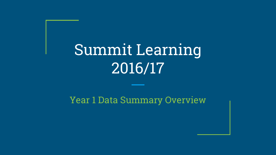# Summit Learning 2016/17

Year 1 Data Summary Overview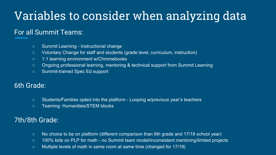# Variables to consider when analyzing data

## For all Summit Teams:

- Summit Learning Instructional change
- Voluntary Change for staff and students (grade level, curriculum, instruction)
- 1:1 learning environment w/Chromebooks
- Ongoing professional learning, mentoring & technical support from Summit Learning
- Summit-trained Spec Ed support

## 6th Grade:

- Students/Families opted into the platform Looping w/previous year's teachers
- Teaming: Humanities/STEM blocks

## 7th/8th Grade:

- No choice to be on platform (different comparison than 6th grade and 17/18 school year)
- 100% kids on PLP for math no Summit team model/inconsistent mentoring/limited projects
- Multiple levels of math in same room at same time (changed for 17/18)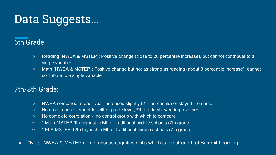# Data Suggests...

## 6th Grade:

- Reading (NWEA & MSTEP): Positive change (close to 20 percentile increase), but cannot contribute to a single variable
- Math (NWEA & MSTEP): Positive change but not as strong as reading (about 8 percentile increase), cannot contribute to a single variable

## 7th/8th Grade:

- NWEA compared to prior year increased slightly (2-4 percentile) or stayed the same
- No drop in achievement for either grade level, 7th grade showed improvement
- No complete correlation no control group with which to compare
- \* Math MSTEP 9th highest in MI for traditional middle schools (7th grade)
- \* ELA MSTEP 12th highest in MI for traditional middle schools (7th grade)
- \*Note: NWEA & MSTEP do not assess cognitive skills which is the strength of Summit Learning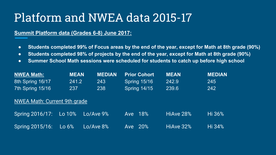# Platform and NWEA data 2015-17

#### **Summit Platform data (Grades 6-8) June 2017:**

- **● Students completed 99% of Focus areas by the end of the year, except for Math at 8th grade (90%)**
- **● Students completed 98% of projects by the end of the year, except for Math at 8th grade (90%)**
- **● Summer School Math sessions were scheduled for students to catch up before high school**

| <b>NWEA Math:</b>                   | <b>MEAN</b> | <b>MEDIAN</b> | <b>Prior Cohort</b> | <b>MEAN</b> | <b>MEDIAN</b> |
|-------------------------------------|-------------|---------------|---------------------|-------------|---------------|
| 8th Spring 16/17                    | 241.2       | 243           | Spring 15/16        | 242.9       | 245           |
| 7th Spring 15/16                    | 237         | 238           | <b>Spring 14/15</b> | 239.6       | 242           |
| <b>NWEA Math: Current 9th grade</b> |             |               |                     |             |               |
| Spring 2016/17:                     | Lo 10%      | Lo/Ave 9%     | 18%<br>Ave          | HiAve 28%   | Hi 36%        |
| Spring 2015/16:                     | Lo 6%       | Lo/Ave 8%     | 20%<br>Ave          | HiAve 32%   | Hi 34%        |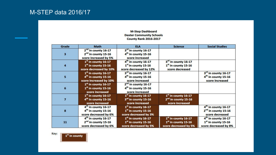#### **M-Step Dashboard Dexter Community Schools County Rank 2016-2017**

| Grade | <b>Math</b>                                                                                 | <b>ELA</b>                                                                                   | <b>Science</b>                                                              | <b>Social Studies</b>                                                                       |
|-------|---------------------------------------------------------------------------------------------|----------------------------------------------------------------------------------------------|-----------------------------------------------------------------------------|---------------------------------------------------------------------------------------------|
| 3     | 2 <sup>nd</sup> in county 16-17<br>2 <sup>nd</sup> in county 15-16<br>score increased by 5% | 3rd in county 16-17<br>4 <sup>th</sup> in county 15-16<br>score increased                    |                                                                             |                                                                                             |
| 4     | $1st$ in county 16-17<br>$1st$ in county 15-16<br>score decreased by 10%                    | 4 <sup>th</sup> in county 16-17<br>1 <sup>st</sup> in county 15-16<br>score decreased by 12% | 3rd in county 16-17<br>1 <sup>st</sup> in county 15-16<br>score decreased   |                                                                                             |
| 5     | $1st$ in county 16-17<br>$4th$ in county 15-16<br>score increased by 10%                    | 3rd in county 16-17<br>4 <sup>th</sup> in county 15-16<br>score increased                    |                                                                             | 3 <sup>rd</sup> in county 16-17<br>4 <sup>th</sup> in county 15-16<br>score increased       |
| 6     | $1st$ in county 16-17<br>$1st$ in county 15-16<br>score increased                           | 2 <sup>nd</sup> in county 16-17<br>4 <sup>th</sup> in county 15-16<br>score increased        |                                                                             |                                                                                             |
|       | $1st$ in county 16-17<br>4 <sup>th</sup> in county 15-16<br>score increased                 | $1st$ in county 16-17<br>3 <sup>rd</sup> in county 15-16<br>score increased                  | $1st$ in county 16-17<br>2 <sup>nd</sup> in county 15-16<br>score increased |                                                                                             |
| 8     | 4 <sup>th</sup> in county 16-17<br>4 <sup>th</sup> in county 15-16<br>score decreased by 6% | 1st in county 16-17<br>$1st$ in county 15-16<br>score decreased by 3%                        |                                                                             | 4 <sup>th</sup> in county 16-17<br>2 <sup>nd</sup> in county 15-16<br>score decreased       |
| 11    | 4 <sup>th</sup> in county 16-17<br>2 <sup>nd</sup> in county 15-16<br>score decreased by 6% | $1st$ in county 16-17<br>$1st$ in county 15-16<br>score decreased by 5%                      | $1st$ in county 16-17<br>$1st$ in county 15-16<br>score decreased by 5%     | 4 <sup>th</sup> in county 16-17<br>1 <sup>st</sup> in county 15-16<br>score decreased by 8% |

Key:

1<sup>st</sup> in county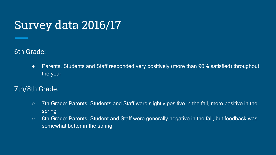# Survey data 2016/17

6th Grade:

• Parents, Students and Staff responded very positively (more than 90% satisfied) throughout the year

## 7th/8th Grade:

- 7th Grade: Parents, Students and Staff were slightly positive in the fall, more positive in the spring
- 8th Grade: Parents, Student and Staff were generally negative in the fall, but feedback was somewhat better in the spring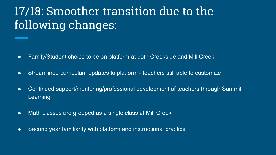# 17/18: Smoother transition due to the following changes:

- Family/Student choice to be on platform at both Creekside and Mill Creek
- Streamlined curriculum updates to platform teachers still able to customize
- Continued support/mentoring/professional development of teachers through Summit Learning
- Math classes are grouped as a single class at Mill Creek
- Second year familiarity with platform and instructional practice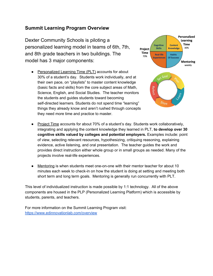#### **Summit Learning Program Overview**

Dexter Community Schools is piloting a personalized learning model in teams of 6th, 7th, and 8th grade teachers in two buildings. The model has 3 major components:

● Personalized Learning Time (PLT) accounts for about 30% of a student's day. Students work individually, and at their own pace, on "playlists" to master content knowledge (basic facts and skills) from the core subject areas of Math, Science, English, and Social Studies. The teacher monitors the students and guides students toward becoming self-directed learners. Students do not spend time "learning" things they already know and aren't rushed through concepts they need more time and practice to master.



- Project Time accounts for about 70% of a student's day. Students work collaboratively, integrating and applying the content knowledge they learned in PLT, **to develop over 30 cognitive skills valued by colleges and potential employers.** Examples include: point of view, selecting relevant resources, hypothesizing, critiquing reasoning, explaining evidence, active listening, and oral presentation. The teacher guides the work and provides direct instruction either whole group or in small groups as needed. Many of the projects involve real-life experiences.
- Mentoring is when students meet one-on-one with their mentor teacher for about 10 minutes each week to check-in on how the student is doing at setting and meeting both short term and long term goals. Mentoring is generally run concurrently with PLT.

This level of individualized instruction is made possible by 1:1 technology. All of the above components are housed in the PLP (Personalized Learning Platform) which is accessible by students, parents, and teachers.

For more information on the Summit Learning Program visit: <https://www.edinnovationlab.com/overview>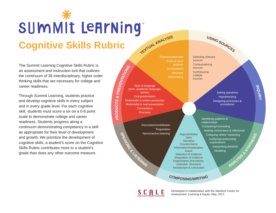# SUMMIt LeArNing **TEXTUA<sup>L</sup> <sup>A</sup>NALYSI<sup>S</sup>**

**Cognitive Skills Rubric**

The Summit Learning Cognitive Skills Rubric is an assessment and instruction tool that outlines the continuum of 36 interdisciplinary, higher-order thinking skills that are necessary for college and career readiness.

Through Summit Learning, students practice and develop cognitive skills in every subject and in every grade level. For each cognitive skill, students must score a six on a 0-8 point scale to demonstrate college and career readiness. Students progress along a continuum demonstrating competency in a skill as appropriate for their level of development and growth. We prioritize the development of cognitive skills; a student's score on the Cognitive Skills Rubric contributes more to a student's grade than does any other outcome measure.

Theme/central idea Point of view/ **Development Structure** Word choice Style & langauge (tone, academic language, syntax) Oral presentation Multimedia in written production

Multimedia in oral presentation **Conventions** Precision

**P R O D U**  $\mathbf{\Omega}$ **TS &**

**PRESEMTATIONS** 

**SPEAKING & LISTENING** Discussion/contribution Preparation Norms/active listening

**Argumentative** claim **Narrative Counterclaims** Information/explanatory thesis Selection of evidence Integration of evidence Organization (transitions, cohesion, structure) Introduction & conclusion

 $C$ **OMPOSING/WRITING** 

**<sup>U</sup>SIN<sup>G</sup> <sup>S</sup>OURCE<sup>S</sup>** Selecting relevant sources **Contextualizing** sources Synthesizing multiple

sources

Asking questions Hypothesizing Designing processes & procedures

**INQUIRY**

**A**<br>APANYSIS & B & SH MANIESIS Identifying patterns & relationships Comparing/contrasting Making connections & inferences Critiquing others' reasoning Justifying/constructing explanations Interpreting data/info **Modeling** 

Developed in collaboration with the Stanford Center for Assessment, Learning & Equity. May, 2017.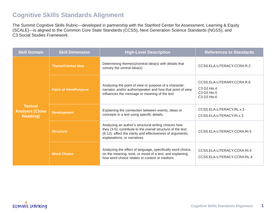### **Cognitive Skills Standards Alignment**

The Summit Cognitive Skills Rubric—developed in partnership with the Stanford Center for Assessment, Learning & Equity (SCALE)—is aligned to the Common Core State Standards (CCSS), Next Generation Science Standards (NGSS), and C3 Social Studies Framework.

| <b>Skill Domain</b>                                          | <b>Skill Dimension</b>       | <b>High-Level Description</b>                                                                                                                                                                                     | <b>References to Standards</b>                                          |
|--------------------------------------------------------------|------------------------------|-------------------------------------------------------------------------------------------------------------------------------------------------------------------------------------------------------------------|-------------------------------------------------------------------------|
|                                                              | <b>Theme/Central Idea</b>    | Determining theme(s)/central idea(s) with details that<br>convey the central idea(s)                                                                                                                              | CCSS.ELA-LITERACY.CCRA.R.2                                              |
|                                                              | <b>Point of View/Purpose</b> | Analyzing the point of view or purpose of a character,<br>narrator, and/or author/speaker and how that point of view<br>influences the message or meaning of the text                                             | CCSS.ELA-LITERARY.CCRA.R.6<br>C3 D2.His.4<br>C3 D2.His.5<br>C3 D2.His.6 |
| <b>Textual</b><br><b>Analysis (Close</b><br><b>Reading</b> ) | <b>Development</b>           | Explaining the connection between events, ideas or<br>concepts in a text using specific details.                                                                                                                  | CCSS.ELA-LITERACY.RL.x.3<br>CCSS.ELA-LITERACY.RI.x.3                    |
|                                                              | <b>Structure</b>             | Analyzing an author's structural writing choices how<br>they (3-5): contribute to the overall structure of the text;<br>(6-12): affect the clarity and effectiveness of arguments,<br>explanations, or narratives | CCSS.ELA-LITERACY.CCRA.RI.5                                             |
|                                                              | <b>Word Choice</b>           | Analyzing the effect of language, specifically word choice,<br>on the meaning, tone, or mood of a text, and explaining<br>how word choice relates to context or medium.                                           | CCSS.ELA-LITERACY.CCRA.RI.4<br>CCSS.ELA-LITERACY.CCRA.RL.4              |

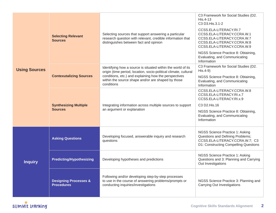| <b>Using Sources</b> | <b>Selecting Relevant</b><br><b>Sources</b>           | Selecting sources that support answering a particular<br>research question with relevant, credible information that<br>distinguishes between fact and opinion                                                                                                 | C3 Framework for Social Studies (D2.<br>His.4-13<br>C3 D3.His.3.1-2<br>CCSS.ELA-LITERACY.RI.7<br>CCSS.ELA-LITERACY.CCRA.W.1<br>CCSS.ELA-LITERACY.CCRA.W.7<br>CCSS.ELA-LITERACY.CCRA.W.8<br>CCSS.ELA-LITERACY.CCRA.W.9<br>NGSS Science Practice 8: Obtaining,<br>Evaluating, and Communicating<br>Information |
|----------------------|-------------------------------------------------------|---------------------------------------------------------------------------------------------------------------------------------------------------------------------------------------------------------------------------------------------------------------|--------------------------------------------------------------------------------------------------------------------------------------------------------------------------------------------------------------------------------------------------------------------------------------------------------------|
|                      | <b>Contexutalizing Sources</b>                        | Identifying how a source is situated within the world of its<br>origin (time period, location, socio-political climate, cultural<br>conditions, etc.) and explaining how the perspectives<br>within the source shape and/or are shaped by those<br>conditions | C3 Framework for Social Studies (D2.<br>$His.4-9)$<br>NGSS Science Practice 8: Obtaining,<br>Evaluating, and Communicating<br>Information                                                                                                                                                                    |
|                      | <b>Synthesizing Multiple</b><br><b>Sources</b>        | Integrating information across multiple sources to support<br>an argument or explanation                                                                                                                                                                      | CCSS.ELA-LITERACY.CCRA.W.8<br>CCSS.ELA-LITERACY.RI.x.7<br>CCSS.ELA-LITERACY.RI.x.9<br>C3 D2.His.16<br>NGSS Science Practice 8: Obtaining,<br>Evaluating, and Communicating<br>Information                                                                                                                    |
|                      | <b>Asking Questions</b>                               | Developing focused, answerable inquiry and research<br>questions                                                                                                                                                                                              | NGSS Science Practice 1: Asking<br>Questions and Defining Problems;<br>CCSS.ELA-LITERACY.CCRA.W.7; C3<br>D1: Constructing Compelling Questions                                                                                                                                                               |
| <b>Inquiry</b>       | <b>Predicting/Hypothesizing</b>                       | Developing hypotheses and predictions                                                                                                                                                                                                                         | NGSS Science Practice 1: Asking<br>Questions and 3: Planning and Carrying<br>Out Investigations                                                                                                                                                                                                              |
|                      | <b>Designing Processes &amp;</b><br><b>Procedures</b> | Following and/or developing step-by-step processes<br>to use in the course of answering problems/prompts or<br>conducting inquiries/investigations                                                                                                            | NGSS Science Practice 3: Planning and<br>Carrying Out Investigations                                                                                                                                                                                                                                         |

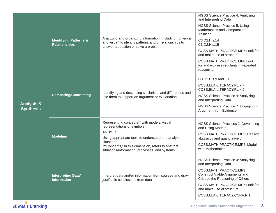| <b>Analysis &amp;</b><br><b>Synthesis</b> | <b>Identifying Patterns &amp;</b><br><b>Relationships</b> | Analyzing and organizing information (including numerical<br>and visual) to identify patterns and/or relationships to<br>answer a question or solve a problem                                                                                                   | NGSS Science Practice 4: Analyzing<br>and Interpreting Data<br>NGSS Science Practice 5: Using<br>Mathematics and Computational<br>Thinking<br>C3 D2.His.14<br>C3 D2.His.15<br>CCSS.MATH.PRACTICE.MP7 Look for<br>and make use of structure.<br>CCSS.MATH.PRACTICE.MP8 Look<br>for and express regularity in repeated<br>reasoning. |
|-------------------------------------------|-----------------------------------------------------------|-----------------------------------------------------------------------------------------------------------------------------------------------------------------------------------------------------------------------------------------------------------------|------------------------------------------------------------------------------------------------------------------------------------------------------------------------------------------------------------------------------------------------------------------------------------------------------------------------------------|
|                                           | <b>Comparing/Contrasting</b>                              | Identifying and describing similarities and differences and<br>use them to support an argument or explanation                                                                                                                                                   | C3 D2.His.9 and 10<br>CCSS.ELA-LITERACY.RL.x.7<br>CCSS.ELA-LITERACY.RL.x.9<br>NGSS Science Practice 4: Analyzing<br>and Interpreting Data<br>NGSS Science Practice 7: Engaging in<br><b>Argument from Evidence</b>                                                                                                                 |
|                                           | <b>Modeling</b>                                           | Representing concepts** with models, visual<br>representations or symbols<br>AND/OR<br>Using appropriate tools to understand and analyze<br>situations<br>**"Concepts," in this dimension, refers to abstract<br>situations/information, processes, and systems | NGSS Science Practices 2: Developing<br>and Using Models<br>CCSS.MATH.PRACTICE.MP2: Reason<br>abstractly and quantitatively<br>CCSS.MATH.PRACTICE.MP4: Model<br>with Mathematics.                                                                                                                                                  |
|                                           | <b>Interpreting Datal</b><br><b>Information</b>           | Interpret data and/or information from sources and draw<br>justifiable conclusions from data                                                                                                                                                                    | NGSS Science Practice 4: Analyzing<br>and Interpreting Data<br>CCSS.MATH.PRACTICE.MP3<br>Construct Viable Arguments and<br>Critique the Reasoning of Others<br>CCSS.MATH.PRACTICE.MP7 Look for<br>and make use of structure.<br>CCSS.ELA-LITERACY.CCRA.R.1                                                                         |

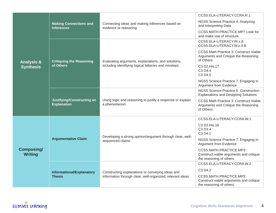| CCSS.ELA-LITERACY.CCRA.R.1                                                                                                                                                                                                           |  |
|--------------------------------------------------------------------------------------------------------------------------------------------------------------------------------------------------------------------------------------|--|
|                                                                                                                                                                                                                                      |  |
| NGSS Science Practice 4: Analyzing<br><b>Making Connections and</b><br>Connecting ideas and making inferences based on<br>and Interpreting Data<br><b>Inferences</b><br>evidence or reasoning                                        |  |
| CCSS.MATH.PRACTICE.MP7 Look for<br>and make use of structure.                                                                                                                                                                        |  |
| CCSS.ELA-LITERACY.RI.x.8<br>CCSS.ELA-LITERACY.W.x.9.B                                                                                                                                                                                |  |
| <b>CCSS Math Practice 3: Construct Viable</b><br>Arguments and Critique the Reasoning<br>of Others<br><b>Critiquing the Reasoning</b><br>Evaluating arguments, explanations, and solutions,<br><b>Analysis &amp;</b>                 |  |
| of Others<br>including identifying logical fallacies and missteps<br>C3 D2.His.17<br><b>Synthesis</b><br>C3 D4.4<br>C3 D4.5                                                                                                          |  |
| NGSS Science Practice 7: Engaging in<br>Argument from Evidence                                                                                                                                                                       |  |
| NGSS Science Practice 6. Construction<br><b>Explanations and Designing Solutions</b>                                                                                                                                                 |  |
| Using logic and reasoning to justify a response or explain<br>Justifying/Constructing an<br><b>CCSS Math Practice 3: Construct Viable</b><br><b>Explanation</b><br>a phenomenon<br>Arguments and Critique the Reasoning<br>of Others |  |
| CCSS.ELA-LITERACY.CCRA.W.1                                                                                                                                                                                                           |  |
| C3 D2.His.16<br>C3 D3.4<br>C3 D4.1                                                                                                                                                                                                   |  |
| Developing a strong opinion/argument through clear, well-<br><b>Argumentative Claim</b><br>NGSS Science Practice 7: Engaging in<br>sequenced claims<br><b>Argument from Evidence</b>                                                 |  |
| <b>Composing/</b><br>CCSS.MATH.PRACTICE.MP3:<br><b>Writing</b><br>Construct viable arguments and critique<br>the reasoning of others.                                                                                                |  |
| CCSS.ELA-LITERACY.CCRA.W.2                                                                                                                                                                                                           |  |
| C3 D4.2<br>Constructing explanations or conveying ideas and<br>Informational/Explanatory                                                                                                                                             |  |
| information through clear, well-organized, relevant ideas<br><b>Thesis</b><br>CCSS.MATH.PRACTICE.MP3:<br>Construct viable arguments and critique<br>the reasoning of others.                                                         |  |

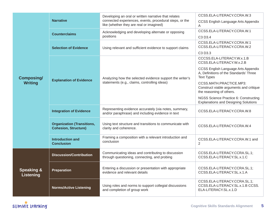|                                     | <b>Narrative</b>                                                 | Developing an oral or written narrative that relates<br>connected experiences, events, procedural steps, or the<br>like (whether they are real or imagined) | CCSS.ELA-LITERACY.CCRA.W.3<br>CCSS English Language Arts Appendix<br>A                             |
|-------------------------------------|------------------------------------------------------------------|-------------------------------------------------------------------------------------------------------------------------------------------------------------|----------------------------------------------------------------------------------------------------|
|                                     | <b>Counterclaims</b>                                             | Acknowledging and developing alternate or opposing<br>positions                                                                                             | CCSS.ELA-LITERACY.CCRA.W.1<br>C3 D3.4                                                              |
|                                     | <b>Selection of Evidence</b>                                     | Using relevant and sufficient evidence to support claims                                                                                                    | CCSS.ELA-LITERACY.CCRA.W.1<br>CCSS.ELA-LITERACY.CCRA.W.2                                           |
|                                     |                                                                  |                                                                                                                                                             | C3 D3.3                                                                                            |
| <b>Composing/</b><br><b>Writing</b> |                                                                  |                                                                                                                                                             | CCCSS.ELA-LITERACY.W.x.1.B<br>CCSS.ELA-LITERACY.W.x.2.B                                            |
|                                     | <b>Explanation of Evidence</b>                                   | Analyzing how the selected evidence support the writer's                                                                                                    | CCSS English Language Arts Appendix<br>A, Definitions of the Standards' Three<br><b>Text Types</b> |
|                                     |                                                                  | statements (e.g., claims, controlling ideas)                                                                                                                | CCSS.MATH.PRACTICE.MP3:<br>Construct viable arguments and critique<br>the reasoning of others.     |
|                                     |                                                                  |                                                                                                                                                             | NGSS Science Practice 6: Constructing<br><b>Explanations and Designing Solutions</b>               |
|                                     | <b>Integration of Evidence</b>                                   | Representing evidence accurately (via notes, summary,<br>and/or paraphrase) and including evidence in text                                                  | CCSS.ELA-LITERACY.CCRA.W.8                                                                         |
|                                     | <b>Organization (Transitions,</b><br><b>Cohesion, Structure)</b> | Using text structure and transitions to communicate with<br>clarity and coherence.                                                                          | CCSS.ELA-LITERACY.CCRA.W.4                                                                         |
|                                     | <b>Introduction and</b><br><b>Conclusion</b>                     | Framing a composition with a relevant introduction and<br>conclusion                                                                                        | CCSS.ELA-LITERACY.CCRA.W.1 and<br>$\overline{2}$                                                   |
|                                     | <b>Discussion/Contribution</b>                                   | Communicating ideas and contributing to discussion<br>through questioning, connecting, and probing                                                          | CCSS.ELA-LITERACY.CCRA.SL.1;<br>CCSS.ELA-LITERACY.SL.x.1.C                                         |
| <b>Speaking &amp;</b><br>Listening  | <b>Preparation</b>                                               | Entering a discussion or presentation with appropriate<br>evidence and relevant details                                                                     | CCSS.ELA-LITERACY.CCRA.SL.1;<br>CCSS.ELA-LITERACY.SL.x.1.A                                         |
|                                     | <b>Norms/Active Listening</b>                                    | Using roles and norms to support collegial discussions<br>and completion of group work                                                                      | CCSS.ELA-LITERACY.CCRA.SL.1;<br>CCSS.ELA-LITERACY.SL.x.1.B CCSS.<br>ELA-LITERACY.SL.x.1.D          |

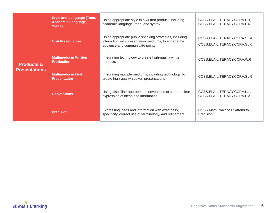|                       | <b>Style and Language (Tone,</b><br><b>Academic Language,</b><br>Syntax) | Using appropriate style in a written product, including<br>academic language, tone, and syntax                                                     | CCSS.ELA-LITERACY.CCRA.L.3,<br>CCSS.ELA-LITERACY.CCRA.L.6  |
|-----------------------|--------------------------------------------------------------------------|----------------------------------------------------------------------------------------------------------------------------------------------------|------------------------------------------------------------|
|                       | <b>Oral Presentation</b>                                                 | Using appropriate public speaking strategies, including<br>interaction with presentation mediums, to engage the<br>audience and communicate points | CCSS.ELA-LITERACY.CCRA.SL.4<br>CCSS.ELA-LITERACY.CCRA.SL.6 |
| <b>Products &amp;</b> | <b>Multimedia in Written</b><br><b>Production</b>                        | Integrating technology to create high-quality written<br>products                                                                                  | CCSS.ELA-LITERACY.CCRA.W.6                                 |
| <b>Presentations</b>  | <b>Multimedia in Oral</b><br><b>Presentation</b>                         | Integrating multiple mediums, including technology, to<br>create high-quality spoken presentations                                                 | CCSS.ELA-LITERACY.CCRA.SL.5                                |
|                       | <b>Conventions</b>                                                       | Using discipline-appropriate conventions to support clear<br>expression of ideas and information                                                   | CCSS.ELA-LITERACY.CCRA.L.1,<br>CCSS.ELA-LITERACY.CCRA.L.2  |
|                       | <b>Precision</b>                                                         | Expressing ideas and information with exactness,<br>specificity, correct use of terminology, and refinement                                        | CCSS Math Practice 6: Attend to<br>Precision               |

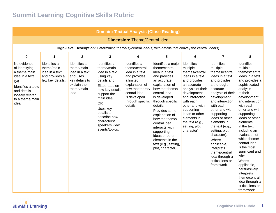# **Summit Learning Cognitive Skills Rubric**

| <b>Domain: Textual Analysis (Close Reading)</b>                                                                                                                   |                                                                                    |                                                                                                                  |                                                                                                                                                                                                                                                   |                                                                                                                                                                                   |                                                                                                                                                                                                                                                                                                                                                                                  |                                                                                                                                                                                                                                                                                     |                                                                                                                                                                                                                                                                                                                                                                                                                   |                                                                                                                                                                                                                                                                                                                                                                                                                                                                                           |  |
|-------------------------------------------------------------------------------------------------------------------------------------------------------------------|------------------------------------------------------------------------------------|------------------------------------------------------------------------------------------------------------------|---------------------------------------------------------------------------------------------------------------------------------------------------------------------------------------------------------------------------------------------------|-----------------------------------------------------------------------------------------------------------------------------------------------------------------------------------|----------------------------------------------------------------------------------------------------------------------------------------------------------------------------------------------------------------------------------------------------------------------------------------------------------------------------------------------------------------------------------|-------------------------------------------------------------------------------------------------------------------------------------------------------------------------------------------------------------------------------------------------------------------------------------|-------------------------------------------------------------------------------------------------------------------------------------------------------------------------------------------------------------------------------------------------------------------------------------------------------------------------------------------------------------------------------------------------------------------|-------------------------------------------------------------------------------------------------------------------------------------------------------------------------------------------------------------------------------------------------------------------------------------------------------------------------------------------------------------------------------------------------------------------------------------------------------------------------------------------|--|
| <b>Dimension: Theme/Central Idea</b>                                                                                                                              |                                                                                    |                                                                                                                  |                                                                                                                                                                                                                                                   |                                                                                                                                                                                   |                                                                                                                                                                                                                                                                                                                                                                                  |                                                                                                                                                                                                                                                                                     |                                                                                                                                                                                                                                                                                                                                                                                                                   |                                                                                                                                                                                                                                                                                                                                                                                                                                                                                           |  |
|                                                                                                                                                                   |                                                                                    |                                                                                                                  |                                                                                                                                                                                                                                                   |                                                                                                                                                                                   | High-Level Description: Determining theme(s)/central idea(s) with details that convey the central idea(s)                                                                                                                                                                                                                                                                        |                                                                                                                                                                                                                                                                                     |                                                                                                                                                                                                                                                                                                                                                                                                                   |                                                                                                                                                                                                                                                                                                                                                                                                                                                                                           |  |
| $\mathbf 0$                                                                                                                                                       | $\mathbf{1}$                                                                       | $\overline{2}$                                                                                                   | 3                                                                                                                                                                                                                                                 | 4                                                                                                                                                                                 | 5                                                                                                                                                                                                                                                                                                                                                                                | 6                                                                                                                                                                                                                                                                                   | $\overline{7}$                                                                                                                                                                                                                                                                                                                                                                                                    | 8                                                                                                                                                                                                                                                                                                                                                                                                                                                                                         |  |
| No evidence<br>of identifying<br>a theme/main<br>idea in a text.<br><b>OR</b><br>Identifies a topic<br>and details<br>loosely related<br>to a theme/main<br>idea. | Identifies a<br>theme/main<br>idea in a text<br>and provides a<br>few key details. | Identifies a<br>theme/main<br>idea in a text<br>and uses<br>key details to<br>explain the<br>theme/main<br>idea. | Identifies a<br>theme/main<br>idea in a text<br>using key<br>details and<br>Elaborates on<br>how key details<br>support the<br>main idea<br><b>OR</b><br>Uses key<br>details to<br>describe how<br>characters/<br>speakers view<br>events/topics. | Identifies a<br>theme/central<br>idea in a text<br>and provides<br>a limited<br>explanation of<br>how that theme/<br>central idea<br>is developed<br>through specific<br>details. | Identifies a major<br>theme/central<br>idea in a text<br>and provides<br>an accurate<br>explanation of<br>how that theme/<br>central idea<br>is developed<br>through specific<br>details.<br>Provides some<br>explanation of<br>how the theme/<br>central idea<br>interacts with<br>supporting<br>ideas or other<br>elements in the<br>text (e.g., setting,<br>plot, character). | Identifies<br>multiple<br>themes/central<br>ideas in a text<br>and provides<br>an accurate<br>analysis of their<br>development<br>and interaction<br>with each<br>other and with<br>supporting<br>ideas or other<br>elements in<br>the text (e.g.,<br>setting, plot,<br>character). | <b>Identifies</b><br>multiple<br>themes/central<br>ideas in a text<br>and provides<br>a thorough,<br>accurate<br>analysis of their<br>development<br>and interaction<br>with each<br>other and with<br>supporting<br>ideas or other<br>elements in<br>the text (e.g.,<br>setting, plot,<br>character).<br>Where<br>applicable,<br>interprets<br>theme/central<br>idea through a<br>critical lens or<br>framework. | Identifies<br>multiple<br>themes/central<br>ideas in a text<br>and provides a<br>sophisticated<br>analysis<br>of their<br>development<br>and interaction<br>with each<br>other and with<br>supporting<br>ideas or other<br>elements<br>in the text,<br>including an<br>evaluation of<br>which theme/<br>central idea<br>is the most<br>significant and<br>why.<br>Where<br>applicable,<br>persuasively<br>interprets<br>theme/central<br>idea through a<br>critical lens or<br>framework. |  |

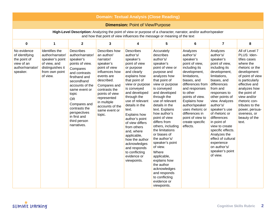| <b>Domain: Textual Analysis (Close Reading)</b>                                             |                                                                                                                         |                                                                                                                                                                                                                                                                                            |                                                                                                                                                                                                                                                     |                                                                                                                                                                                                                                                                                                                                                                                                                                                     |                                                                                                                                                                                                                                                                                                                                                                                                                                                                                                                                               |                                                                                                                                                                                                                                                                                                                            |                                                                                                                                                                                                                                                                                                                                                                                                                              |                                                                                                                                                                                                                                                                                                     |  |  |
|---------------------------------------------------------------------------------------------|-------------------------------------------------------------------------------------------------------------------------|--------------------------------------------------------------------------------------------------------------------------------------------------------------------------------------------------------------------------------------------------------------------------------------------|-----------------------------------------------------------------------------------------------------------------------------------------------------------------------------------------------------------------------------------------------------|-----------------------------------------------------------------------------------------------------------------------------------------------------------------------------------------------------------------------------------------------------------------------------------------------------------------------------------------------------------------------------------------------------------------------------------------------------|-----------------------------------------------------------------------------------------------------------------------------------------------------------------------------------------------------------------------------------------------------------------------------------------------------------------------------------------------------------------------------------------------------------------------------------------------------------------------------------------------------------------------------------------------|----------------------------------------------------------------------------------------------------------------------------------------------------------------------------------------------------------------------------------------------------------------------------------------------------------------------------|------------------------------------------------------------------------------------------------------------------------------------------------------------------------------------------------------------------------------------------------------------------------------------------------------------------------------------------------------------------------------------------------------------------------------|-----------------------------------------------------------------------------------------------------------------------------------------------------------------------------------------------------------------------------------------------------------------------------------------------------|--|--|
|                                                                                             | <b>Dimension: Point of View/Purpose</b>                                                                                 |                                                                                                                                                                                                                                                                                            |                                                                                                                                                                                                                                                     |                                                                                                                                                                                                                                                                                                                                                                                                                                                     |                                                                                                                                                                                                                                                                                                                                                                                                                                                                                                                                               |                                                                                                                                                                                                                                                                                                                            |                                                                                                                                                                                                                                                                                                                                                                                                                              |                                                                                                                                                                                                                                                                                                     |  |  |
|                                                                                             |                                                                                                                         |                                                                                                                                                                                                                                                                                            |                                                                                                                                                                                                                                                     |                                                                                                                                                                                                                                                                                                                                                                                                                                                     | High-Level Description: Analyzing the point of view or purpose of a character, narrator, and/or author/speaker<br>and how that point of view influences the message or meaning of the text                                                                                                                                                                                                                                                                                                                                                    |                                                                                                                                                                                                                                                                                                                            |                                                                                                                                                                                                                                                                                                                                                                                                                              |                                                                                                                                                                                                                                                                                                     |  |  |
| $\mathbf 0$                                                                                 | $\mathbf{1}$                                                                                                            | $\overline{2}$                                                                                                                                                                                                                                                                             | 3                                                                                                                                                                                                                                                   | 4                                                                                                                                                                                                                                                                                                                                                                                                                                                   | 5                                                                                                                                                                                                                                                                                                                                                                                                                                                                                                                                             | $\bf 6$                                                                                                                                                                                                                                                                                                                    | $\overline{7}$                                                                                                                                                                                                                                                                                                                                                                                                               | 8                                                                                                                                                                                                                                                                                                   |  |  |
| No evidence<br>of identifying<br>the point of<br>view of an<br>author/narrator/<br>speaker. | Identifies the<br>author/narrator/<br>speaker's point<br>of view, and<br>distinguishes it<br>from own point<br>of view. | <b>Describes</b><br>author/narrator/<br>speaker's<br>points of view.<br>Compares<br>and contrasts<br>firsthand and<br>secondhand<br>accounts of the<br>same event or<br>topic<br><b>OR</b><br>Compares and<br>contrasts the<br>perspectives<br>in first and<br>third person<br>narratives. | Describes how<br>an author/<br>narrator/<br>speaker's<br>point of view<br>influences how<br>events are<br>described.<br>Compares and<br>contrasts the<br>points of view<br>represented<br>in multiple<br>accounts of the<br>same event or<br>topic. | <b>Describes</b><br>author's/<br>speaker's<br>point of view<br>or purpose<br>and clearly<br>explains how<br>that point of<br>view or purpose<br>is conveyed<br>and developed<br>through the<br>use of relevant<br>details in the<br>text.<br><b>Explains how</b><br>author's point<br>of view differs<br>from others<br>and, where<br>applicable,<br>how the author<br>acknowledges<br>and responds<br>to conflicting<br>evidence or<br>viewpoints. | Accurately<br>describes<br>author's/<br>speaker's<br>point of view or<br>purpose and<br>analyzes how<br>that point of<br>view or purpose<br>is conveyed<br>and developed<br>through the<br>use of relevant<br>details in the<br>text. Explains<br>how author's<br>point of view<br>differs from<br>others, including<br>the limitations<br>or biases of<br>the author's/<br>speaker's point<br>of view.<br>Where<br>applicable,<br>explains how<br>the author<br>acknowledges<br>and responds<br>to conflicting<br>evidence or<br>viewpoints. | Analyzes<br>author's/<br>speaker's<br>point of view,<br>including its<br>development,<br>limitations,<br>biases, and<br>differences from<br>and responses<br>to other<br>points of view.<br><b>Explains how</b><br>author/speaker<br>uses rhetoric or<br>differences in<br>point of view to<br>create specific<br>effects. | Analyzes<br>author's/<br>speaker's<br>point of view,<br>including its<br>development,<br>limitations,<br>biases, and<br>differences<br>from and<br>responses to<br>other points of<br>view. Analyzes<br>author's/<br>speaker's use<br>of rhetoric or<br>differences<br>in point of<br>view to create<br>specific effects.<br>Analyzes the<br>effect of cultural<br>experience<br>on author's/<br>speaker's point<br>of view. | All of Level 7<br>PLUS: Iden-<br>tifies cases<br>where the<br>rhetoric or the<br>development<br>of point of view<br>is particularly<br>effective and<br>analyzes how<br>the point of<br>view and/or<br>rhetoric con-<br>tributes to the<br>power, persua-<br>siveness, or<br>beauty of the<br>text. |  |  |

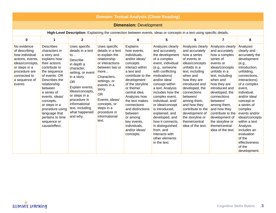| <b>Domain: Textual Analysis (Close Reading)</b>                                                                                                                     |                                                                                                                                                                                                                                                                                                                                        |                                                                                                                                                                                                                                                                                      |                                                                                                                                                                                                                                                                                  |                                                                                                                                                                                                                                                                                                                                                      |                                                                                                                                                                                                                                                                                                                                                                                                                                                    |                                                                                                                                                                                                                                                                                                                                                    |                                                                                                                                                                                                                                                                                                                                                               |                                                                                                                                                                                                                                                                                                                                                                                        |  |  |
|---------------------------------------------------------------------------------------------------------------------------------------------------------------------|----------------------------------------------------------------------------------------------------------------------------------------------------------------------------------------------------------------------------------------------------------------------------------------------------------------------------------------|--------------------------------------------------------------------------------------------------------------------------------------------------------------------------------------------------------------------------------------------------------------------------------------|----------------------------------------------------------------------------------------------------------------------------------------------------------------------------------------------------------------------------------------------------------------------------------|------------------------------------------------------------------------------------------------------------------------------------------------------------------------------------------------------------------------------------------------------------------------------------------------------------------------------------------------------|----------------------------------------------------------------------------------------------------------------------------------------------------------------------------------------------------------------------------------------------------------------------------------------------------------------------------------------------------------------------------------------------------------------------------------------------------|----------------------------------------------------------------------------------------------------------------------------------------------------------------------------------------------------------------------------------------------------------------------------------------------------------------------------------------------------|---------------------------------------------------------------------------------------------------------------------------------------------------------------------------------------------------------------------------------------------------------------------------------------------------------------------------------------------------------------|----------------------------------------------------------------------------------------------------------------------------------------------------------------------------------------------------------------------------------------------------------------------------------------------------------------------------------------------------------------------------------------|--|--|
|                                                                                                                                                                     | <b>Dimension: Development</b>                                                                                                                                                                                                                                                                                                          |                                                                                                                                                                                                                                                                                      |                                                                                                                                                                                                                                                                                  |                                                                                                                                                                                                                                                                                                                                                      |                                                                                                                                                                                                                                                                                                                                                                                                                                                    |                                                                                                                                                                                                                                                                                                                                                    |                                                                                                                                                                                                                                                                                                                                                               |                                                                                                                                                                                                                                                                                                                                                                                        |  |  |
|                                                                                                                                                                     |                                                                                                                                                                                                                                                                                                                                        |                                                                                                                                                                                                                                                                                      |                                                                                                                                                                                                                                                                                  |                                                                                                                                                                                                                                                                                                                                                      | High-Level Description: Explaining the connection between events, ideas or concepts in a text using specific details.                                                                                                                                                                                                                                                                                                                              |                                                                                                                                                                                                                                                                                                                                                    |                                                                                                                                                                                                                                                                                                                                                               |                                                                                                                                                                                                                                                                                                                                                                                        |  |  |
| $\mathbf 0$                                                                                                                                                         | 1                                                                                                                                                                                                                                                                                                                                      | $\mathbf{2}$                                                                                                                                                                                                                                                                         | 3                                                                                                                                                                                                                                                                                | 4                                                                                                                                                                                                                                                                                                                                                    | 5                                                                                                                                                                                                                                                                                                                                                                                                                                                  | 6                                                                                                                                                                                                                                                                                                                                                  | $\overline{7}$                                                                                                                                                                                                                                                                                                                                                | 8                                                                                                                                                                                                                                                                                                                                                                                      |  |  |
| No evidence<br>of describing<br>how individual<br>actions, events,<br>ideas/concepts,<br>or steps in a<br>procedure are<br>connected to<br>a sequence of<br>events. | <b>Describes</b><br>characters in<br>a story and<br>explains how<br>their actions<br>contribute to<br>the sequence<br>of events. OR<br>Describes the<br>relationship<br>between<br>a series of<br>events, ideas/<br>concepts,<br>or steps in a<br>procedure using<br>language that<br>pertains to time<br>sequence or<br>cause/effect. | Uses specific<br>details in a text<br>$\mathsf{to}$<br>Describe<br>in depth a<br>character,<br>setting, or event<br>in a story.<br><b>OR</b><br>Explain events,<br>ideas/concepts,<br>or steps in a<br>procedure in<br>informational<br>text, including<br>what happened<br>and why. | Uses specific<br>details in a text<br>to explain the<br>relationship<br>or interactions<br>between two or<br>more<br>Characters,<br>settings, or<br>events in a<br>story.<br><b>OR</b><br>Events, ideas/<br>concepts, or<br>steps in a<br>procedure in<br>informational<br>text. | Explains<br>how events,<br>individuals,<br>and/or ideas/<br>concepts<br>interact within<br>a text and<br>contribute to the<br>development<br>of the storyline<br>or theme/<br>central idea.<br>Analyzes how<br>the text makes<br>connections<br>and distinctions<br>between<br>or among<br>key events,<br>individuals,<br>and/or ideas/<br>concepts. | Analyzes clearly<br>and accurately<br>the development<br>of a complex<br>event, individual<br>(e.g., someone<br>with conflicting<br>motivations)<br>and/or idea/<br>concept within<br>a text. Analysis<br>includes how the<br>complex event,<br>individual, and/<br>or idea/concept<br>is introduced,<br>explained, and<br>developed, and<br>how it connects.<br>is distinguished<br>from, and<br>interacts with<br>other elements<br>in the text. | Analyzes clearly<br>and accurately<br>how a series<br>of events or<br>ideas/concepts<br>unfolds in a<br>text, including<br>when and<br>how they are<br>introduced and<br>developed, the<br>connections<br>between/<br>among them,<br>and how they<br>contribute to the<br>development of<br>the storyline or<br>theme/central<br>idea of the text. | Analyzes clearly<br>and accurately<br>how a complex<br>series of<br>events or<br>ideas/concepts<br>unfolds in a<br>text, including<br>when and<br>how they are<br>introduced and<br>developed, the<br>connections<br>between/<br>among them,<br>and how they<br>contribute to the<br>development of<br>the storyline or<br>theme/central<br>idea of the text. | Analyzes<br>clearly and<br>accurately the<br>development<br>(e.g.,<br>introduction,<br>unfolding,<br>connections,<br>interactions)<br>of a complex<br>event.<br>individual,<br>and/or idea/<br>concept or<br>a series of<br>complex<br>events and/or<br>ideas/concepts<br>within a text.<br>Analysis<br>includes an<br>evaluation<br>of the<br>effectiveness<br>of the<br>development. |  |  |

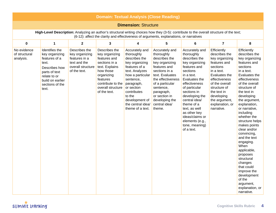| <b>Domain: Textual Analysis (Close Reading)</b> |                                                                                                                                                              |                                                                                                       |                                                                                                                                                                                     |                                                                                                                                                                                                                                                     |                                                                                                                                                                                                                                                      |                                                                                                                                                                                                                                                                                                                                     |                                                                                                                                                                                                                                             |                                                                                                                                                                                                                                                                                                                                                                                                                                                                                                                                        |  |  |
|-------------------------------------------------|--------------------------------------------------------------------------------------------------------------------------------------------------------------|-------------------------------------------------------------------------------------------------------|-------------------------------------------------------------------------------------------------------------------------------------------------------------------------------------|-----------------------------------------------------------------------------------------------------------------------------------------------------------------------------------------------------------------------------------------------------|------------------------------------------------------------------------------------------------------------------------------------------------------------------------------------------------------------------------------------------------------|-------------------------------------------------------------------------------------------------------------------------------------------------------------------------------------------------------------------------------------------------------------------------------------------------------------------------------------|---------------------------------------------------------------------------------------------------------------------------------------------------------------------------------------------------------------------------------------------|----------------------------------------------------------------------------------------------------------------------------------------------------------------------------------------------------------------------------------------------------------------------------------------------------------------------------------------------------------------------------------------------------------------------------------------------------------------------------------------------------------------------------------------|--|--|
|                                                 | <b>Dimension: Structure</b>                                                                                                                                  |                                                                                                       |                                                                                                                                                                                     |                                                                                                                                                                                                                                                     |                                                                                                                                                                                                                                                      |                                                                                                                                                                                                                                                                                                                                     |                                                                                                                                                                                                                                             |                                                                                                                                                                                                                                                                                                                                                                                                                                                                                                                                        |  |  |
|                                                 |                                                                                                                                                              |                                                                                                       |                                                                                                                                                                                     |                                                                                                                                                                                                                                                     | High-Level Description: Analyzing an author's structural writing choices how they (3-5): contribute to the overall structure of the text;<br>(6-12): affect the clarity and effectiveness of arguments, explanations, or narratives                  |                                                                                                                                                                                                                                                                                                                                     |                                                                                                                                                                                                                                             |                                                                                                                                                                                                                                                                                                                                                                                                                                                                                                                                        |  |  |
| $\mathbf 0$                                     | $\mathbf{1}$                                                                                                                                                 | $\mathbf{2}$                                                                                          | 3                                                                                                                                                                                   | 4                                                                                                                                                                                                                                                   | 5                                                                                                                                                                                                                                                    | 6                                                                                                                                                                                                                                                                                                                                   | $\overline{\mathbf{z}}$                                                                                                                                                                                                                     | 8                                                                                                                                                                                                                                                                                                                                                                                                                                                                                                                                      |  |  |
| No evidence<br>of structural<br>analysis.       | Identifies the<br>key organizing<br>features of a<br>text.<br>Describes how<br>parts of text<br>relate to or<br>build on earlier<br>sections of the<br>text. | Describes the<br>key organizing<br>features in a<br>text and the<br>overall structure<br>of the text. | Describes the<br>key organizing<br>features and<br>sections in a<br>text. Explains<br>how those<br>organizing<br>features<br>contribute to the<br>overall structure<br>of the text. | Accurately and<br>thoroughly<br>describes the<br>key organizing<br>features of a<br>text. Analyzes<br>how a particular<br>sentence,<br>paragraph,<br>or section<br>contributes<br>to the<br>development of<br>the central idea/<br>theme of a text. | Accurately and<br>thoroughly<br>describes the<br>key organizing<br>features and<br>sections in a<br>text. Evaluates<br>the effectiveness<br>of a particular<br>sentence,<br>paragraph,<br>or section in<br>developing the<br>central idea/<br>theme. | Accurately and<br>thoroughly<br>describes the<br>key organizing<br>features and<br>sections<br>in a text.<br>Evaluates the<br>effectiveness<br>of particular<br>sections in<br>developing the<br>central idea/<br>theme of a<br>text, as well<br>as other key<br>ideas/claims or<br>elements (e.g.,<br>tone, meaning)<br>of a text. | Efficiently<br>describes the<br>key organizing<br>features and<br>sections<br>in a text.<br>Evaluates the<br>effectiveness<br>of the overall<br>structure of<br>the text in<br>developing<br>the argument,<br>explanation, or<br>narrative. | Efficiently<br>describes the<br>key organizing<br>features and<br>sections<br>in a text.<br>Evaluates the<br>effectiveness<br>of the overall<br>structure of<br>the text in<br>developing<br>the argument,<br>explanation,<br>or narrative,<br>including<br>whether the<br>structure helps<br>makes points<br>clear and/or<br>convincing,<br>and the text<br>engaging.<br>When<br>applicable,<br>proposes<br>structural<br>changes<br>that could<br>improve the<br>development<br>of the<br>argument,<br>explanation, or<br>narrative. |  |  |

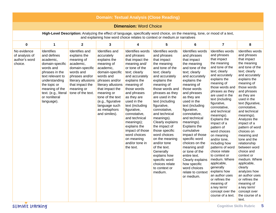| <b>Domain: Textual Analysis (Close Reading)</b>                                                                                                                                                           |                                                                                                                                                                                                                               |                                                                                                                                                                                         |                                                                                                                                                                                                                                                                             |                                                                                                                                                                                                                                                                                                                                                                                                    |                                                                                                                                                                                                                                                                                                                                                                                                                                                                                                                 |                                                                                                                                                                                                                                                                                                                                                                                                                                                                                                                             |                                                                                                                                                                                                                                                                                                                                                                                                                                                                                                                                                                                                                                      |                                                                                                                                                                                                                                                                                                                                                                                                                                                                                                                                                                                                                      |  |  |
|-----------------------------------------------------------------------------------------------------------------------------------------------------------------------------------------------------------|-------------------------------------------------------------------------------------------------------------------------------------------------------------------------------------------------------------------------------|-----------------------------------------------------------------------------------------------------------------------------------------------------------------------------------------|-----------------------------------------------------------------------------------------------------------------------------------------------------------------------------------------------------------------------------------------------------------------------------|----------------------------------------------------------------------------------------------------------------------------------------------------------------------------------------------------------------------------------------------------------------------------------------------------------------------------------------------------------------------------------------------------|-----------------------------------------------------------------------------------------------------------------------------------------------------------------------------------------------------------------------------------------------------------------------------------------------------------------------------------------------------------------------------------------------------------------------------------------------------------------------------------------------------------------|-----------------------------------------------------------------------------------------------------------------------------------------------------------------------------------------------------------------------------------------------------------------------------------------------------------------------------------------------------------------------------------------------------------------------------------------------------------------------------------------------------------------------------|--------------------------------------------------------------------------------------------------------------------------------------------------------------------------------------------------------------------------------------------------------------------------------------------------------------------------------------------------------------------------------------------------------------------------------------------------------------------------------------------------------------------------------------------------------------------------------------------------------------------------------------|----------------------------------------------------------------------------------------------------------------------------------------------------------------------------------------------------------------------------------------------------------------------------------------------------------------------------------------------------------------------------------------------------------------------------------------------------------------------------------------------------------------------------------------------------------------------------------------------------------------------|--|--|
|                                                                                                                                                                                                           |                                                                                                                                                                                                                               |                                                                                                                                                                                         |                                                                                                                                                                                                                                                                             | <b>Dimension: Word Choice</b>                                                                                                                                                                                                                                                                                                                                                                      |                                                                                                                                                                                                                                                                                                                                                                                                                                                                                                                 |                                                                                                                                                                                                                                                                                                                                                                                                                                                                                                                             |                                                                                                                                                                                                                                                                                                                                                                                                                                                                                                                                                                                                                                      |                                                                                                                                                                                                                                                                                                                                                                                                                                                                                                                                                                                                                      |  |  |
| High-Level Description: Analyzing the effect of language, specifically word choice, on the meaning, tone, or mood of a text,<br>and explaining how word choice relates to context or medium.or narratives |                                                                                                                                                                                                                               |                                                                                                                                                                                         |                                                                                                                                                                                                                                                                             |                                                                                                                                                                                                                                                                                                                                                                                                    |                                                                                                                                                                                                                                                                                                                                                                                                                                                                                                                 |                                                                                                                                                                                                                                                                                                                                                                                                                                                                                                                             |                                                                                                                                                                                                                                                                                                                                                                                                                                                                                                                                                                                                                                      |                                                                                                                                                                                                                                                                                                                                                                                                                                                                                                                                                                                                                      |  |  |
| 0                                                                                                                                                                                                         | 1                                                                                                                                                                                                                             | $\mathbf{2}$                                                                                                                                                                            | 3                                                                                                                                                                                                                                                                           | 4                                                                                                                                                                                                                                                                                                                                                                                                  | 5                                                                                                                                                                                                                                                                                                                                                                                                                                                                                                               | 6                                                                                                                                                                                                                                                                                                                                                                                                                                                                                                                           | $\overline{7}$                                                                                                                                                                                                                                                                                                                                                                                                                                                                                                                                                                                                                       | 8                                                                                                                                                                                                                                                                                                                                                                                                                                                                                                                                                                                                                    |  |  |
| No evidence<br>of analysis of<br>author's word<br>choice.                                                                                                                                                 | <b>Identifies</b><br>and defines<br>academic,<br>domain-specific<br>words and<br>phrases in the<br>text relevant to<br>understanding<br>the topic or<br>meaning of the<br>text. (e.g., literal<br>or nonliteral<br>language). | Identifies and<br>explains the<br>meaning of<br>academic,<br>domain-specific<br>words and<br>phrases and/or<br>literary allusions<br>that impact the<br>meaning or<br>tone of the text. | Identifies and<br>accurately<br>explains the<br>meaning of<br>academic,<br>domain-specific<br>words and<br>phrases and/or<br>literary allusions<br>that impact the<br>meaning or<br>tone of the text<br>(e.g., figurative<br>language such<br>as metaphors<br>and similes). | Identifies words<br>and phrases<br>that impact the<br>meaning and/<br>or tone of the<br>text; clearly<br>and accurately<br>explains the<br>meaning of<br>those words<br>and phrases<br>as they are<br>used in the<br>text (including<br>figurative,<br>connotative,<br>and technical<br>meanings);<br>explains the<br>impact of those<br>word choices<br>on meaning<br>and/or tone in<br>the text. | Identifies words<br>and phrases<br>that impact<br>the meaning<br>and tone of the<br>text; clearly<br>and accurately<br>explains the<br>meaning of<br>those words and<br>phrases as they<br>are used in the<br>text (including<br>figurative,<br>connotative,<br>and technical<br>meanings).<br>Clearly explains<br>the impact of<br>those specific<br>word choices<br>on the meaning<br>and/or tone<br>of the text.<br>Generally<br>explains how<br>specific word<br>choices relate<br>to context or<br>medium. | Identifies words<br>and phrases<br>that impact<br>the meaning<br>and tone of the<br>text; clearly<br>and accurately<br>explains the<br>meaning of<br>those words<br>and phrases<br>as they are<br>used in the<br>text (including<br>figurative,<br>connotative,<br>and technical<br>meanings).<br>Explains the<br>cumulative<br>impact of those<br>specific word<br>choices on the<br>meaning and/<br>or tone of the<br>entire text.<br>Clearly explains<br>how specific<br>word choices<br>relate to context<br>or medium. | Identifies words<br>and phrases<br>that impact<br>the meaning<br>and tone of the<br>text; clearly<br>and accurately<br>explains the<br>meaning of<br>those words and<br>phrases as they<br>are used in the<br>text (including<br>figurative,<br>connotative,<br>and technical<br>meanings).<br>Explains the<br>impact of a<br>pattern of<br>word choices<br>on meaning<br>and/or tone,<br>including how<br>patterns of word<br>choice relate<br>to context or<br>medium. Where<br>applicable,<br>generally<br>explains how<br>an author uses<br>or refines the<br>meaning of<br>a key term/<br>concept over the<br>course of a text. | Identifies words<br>and phrases<br>that impact<br>the meaning<br>and tone of the<br>text; clearly<br>and accurately<br>explains the<br>meaning of<br>those words<br>and phrases<br>as they are<br>used in the<br>text (figurative,<br>connotative,<br>and technical<br>meanings).<br>Analyzes the<br>impact of a<br>pattern of word<br>choices on<br>meaning and<br>tone and the<br>relationship<br>between word<br>choice and<br>context or<br>medium. Where<br>applicable,<br>clearly<br>analyzes how<br>an author uses<br>or refines the<br>meaning of<br>a key term/<br>concept over<br>the course of a<br>text. |  |  |

SUMMIt Learning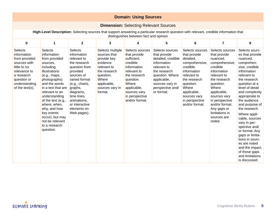|                                                                                                                                                                                    | <b>Domain: Using Sources</b>                                                                                                                                                                                                                                                                                                               |                                                                                                                                                                                                                                                  |                                                                                                                                                               |                                                                                                                                                                                                   |                                                                                                                                                                                            |                                                                                                                                                                                                                   |                                                                                                                                                                                                                                                                            |                                                                                                                                                                                                                                                                                                                                                                                                                                                                          |  |  |  |
|------------------------------------------------------------------------------------------------------------------------------------------------------------------------------------|--------------------------------------------------------------------------------------------------------------------------------------------------------------------------------------------------------------------------------------------------------------------------------------------------------------------------------------------|--------------------------------------------------------------------------------------------------------------------------------------------------------------------------------------------------------------------------------------------------|---------------------------------------------------------------------------------------------------------------------------------------------------------------|---------------------------------------------------------------------------------------------------------------------------------------------------------------------------------------------------|--------------------------------------------------------------------------------------------------------------------------------------------------------------------------------------------|-------------------------------------------------------------------------------------------------------------------------------------------------------------------------------------------------------------------|----------------------------------------------------------------------------------------------------------------------------------------------------------------------------------------------------------------------------------------------------------------------------|--------------------------------------------------------------------------------------------------------------------------------------------------------------------------------------------------------------------------------------------------------------------------------------------------------------------------------------------------------------------------------------------------------------------------------------------------------------------------|--|--|--|
|                                                                                                                                                                                    |                                                                                                                                                                                                                                                                                                                                            |                                                                                                                                                                                                                                                  |                                                                                                                                                               | <b>Dimension: Selecting Relevant Sources</b>                                                                                                                                                      |                                                                                                                                                                                            |                                                                                                                                                                                                                   |                                                                                                                                                                                                                                                                            |                                                                                                                                                                                                                                                                                                                                                                                                                                                                          |  |  |  |
| High-Level Description: Selecting sources that support answering a particular research question with relevant, credible information that<br>distinguishes between fact and opinion |                                                                                                                                                                                                                                                                                                                                            |                                                                                                                                                                                                                                                  |                                                                                                                                                               |                                                                                                                                                                                                   |                                                                                                                                                                                            |                                                                                                                                                                                                                   |                                                                                                                                                                                                                                                                            |                                                                                                                                                                                                                                                                                                                                                                                                                                                                          |  |  |  |
| $\mathbf 0$                                                                                                                                                                        | $\mathbf{1}$                                                                                                                                                                                                                                                                                                                               | $\mathbf{2}$                                                                                                                                                                                                                                     | 3                                                                                                                                                             | 4                                                                                                                                                                                                 | 5                                                                                                                                                                                          | 6                                                                                                                                                                                                                 | $\overline{7}$                                                                                                                                                                                                                                                             | 8                                                                                                                                                                                                                                                                                                                                                                                                                                                                        |  |  |  |
| <b>Selects</b><br>information<br>from provided<br>sources with<br>little to no<br>relevance to<br>a research<br>question or<br>understanding<br>of the text(s).                    | <b>Selects</b><br>information<br>from provided<br>sources.<br>including<br>illustrations<br>(e.g., maps,<br>photographs)<br>and the words<br>in a text that are<br>relevant to an<br>understanding<br>of the text (e.g.,<br>where, when,<br>why, and how<br>key events<br>occur), but may<br>not be relevant<br>to a research<br>question. | <b>Selects</b><br>information<br>relevant to<br>the research<br>question from<br>provided<br>sources of<br>varied format<br>(e.g., charts,<br>graphs,<br>diagrams,<br>time lines,<br>animations,<br>or interactive<br>elements on<br>Web pages). | Selects multiple<br>sources that<br>provide key<br>evidence<br>relevant to<br>the research<br>question.<br>Where<br>applicable,<br>sources vary in<br>format. | Selects sources<br>that provide<br>sufficient,<br>credible<br>information<br>relevant to<br>the research<br>question.<br>Where<br>applicable,<br>sources vary<br>in perspective<br>and/or format. | Selects sources<br>that provide<br>detailed, credible<br>information<br>relevant to<br>the research<br>question. Where<br>applicable,<br>sources vary in<br>perspective and/<br>or format. | Selects sources<br>that provide<br>detailed,<br>comprehensive,<br>credible<br>information<br>relevant to<br>the research<br>question.<br>Where<br>applicable,<br>sources vary<br>in perspective<br>and/or format. | Selects sources<br>that provide<br>nuanced,<br>comprehensive,<br>credible<br>information<br>relevant to<br>the research<br>question.<br>Where<br>applicable,<br>sources vary<br>in perspective<br>and/or format.<br>Any gaps or<br>limitations in<br>sources are<br>noted. | Selects sourc-<br>es that provide<br>nuanced,<br>comprehen-<br>sive, credible<br>information<br>relevant to<br>the research<br>question at a<br>level of detail<br>and complexity<br>appropriate to<br>the audience<br>and purpose of<br>the research.<br>Where appli-<br>cable, sources<br>vary in per-<br>spective and/<br>or format. Any<br>gaps or limita-<br>tions in sourc-<br>es are noted<br>and the impact<br>of those gaps<br>and limitations<br>is discussed. |  |  |  |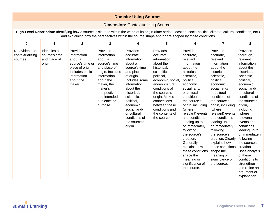| <b>Domain: Using Sources</b>                                                                                                                                                                                                                                                 |                                                          |                                                                                                                                    |                                                                                                                                                                                                         |                                                                                                                                                                                                                                                                             |                                                                                                                                                                                                                                                                            |                                                                                                                                                                                                                                                                                                                                                                                                                                                        |                                                                                                                                                                                                                                                                                                                                                                                                                                                   |                                                                                                                                                                                                                                                                                                                                                                                                                                                            |  |  |
|------------------------------------------------------------------------------------------------------------------------------------------------------------------------------------------------------------------------------------------------------------------------------|----------------------------------------------------------|------------------------------------------------------------------------------------------------------------------------------------|---------------------------------------------------------------------------------------------------------------------------------------------------------------------------------------------------------|-----------------------------------------------------------------------------------------------------------------------------------------------------------------------------------------------------------------------------------------------------------------------------|----------------------------------------------------------------------------------------------------------------------------------------------------------------------------------------------------------------------------------------------------------------------------|--------------------------------------------------------------------------------------------------------------------------------------------------------------------------------------------------------------------------------------------------------------------------------------------------------------------------------------------------------------------------------------------------------------------------------------------------------|---------------------------------------------------------------------------------------------------------------------------------------------------------------------------------------------------------------------------------------------------------------------------------------------------------------------------------------------------------------------------------------------------------------------------------------------------|------------------------------------------------------------------------------------------------------------------------------------------------------------------------------------------------------------------------------------------------------------------------------------------------------------------------------------------------------------------------------------------------------------------------------------------------------------|--|--|
|                                                                                                                                                                                                                                                                              | <b>Dimension: Contextualizing Sources</b>                |                                                                                                                                    |                                                                                                                                                                                                         |                                                                                                                                                                                                                                                                             |                                                                                                                                                                                                                                                                            |                                                                                                                                                                                                                                                                                                                                                                                                                                                        |                                                                                                                                                                                                                                                                                                                                                                                                                                                   |                                                                                                                                                                                                                                                                                                                                                                                                                                                            |  |  |
| High-Level Description: Identifying how a source is situated within the world of its origin (time period, location, socio-political climate, cultural conditions, etc.)<br>and explaining how the perspectives within the source shape and/or are shaped by those conditions |                                                          |                                                                                                                                    |                                                                                                                                                                                                         |                                                                                                                                                                                                                                                                             |                                                                                                                                                                                                                                                                            |                                                                                                                                                                                                                                                                                                                                                                                                                                                        |                                                                                                                                                                                                                                                                                                                                                                                                                                                   |                                                                                                                                                                                                                                                                                                                                                                                                                                                            |  |  |
| 5<br>$\overline{7}$<br>0<br>$\mathbf{1}$<br>$\mathbf{2}$<br>3<br>4<br>6<br>8                                                                                                                                                                                                 |                                                          |                                                                                                                                    |                                                                                                                                                                                                         |                                                                                                                                                                                                                                                                             |                                                                                                                                                                                                                                                                            |                                                                                                                                                                                                                                                                                                                                                                                                                                                        |                                                                                                                                                                                                                                                                                                                                                                                                                                                   |                                                                                                                                                                                                                                                                                                                                                                                                                                                            |  |  |
| No evidence of<br>contextualizing<br>sources.                                                                                                                                                                                                                                | Identifies a<br>source's time<br>and place of<br>origin. | Provides<br>information<br>about a<br>source's time or<br>place of origin.<br>Includes basic<br>information<br>about the<br>maker. | Provides<br>information<br>about a<br>source's time<br>and place of<br>origin. Includes<br>information<br>about the<br>maker, the<br>maker's<br>perspective,<br>and intended<br>audience or<br>purpose. | Provides<br>accurate<br>information<br>about a<br>source's time<br>and place<br>of origin.<br>Includes some<br>information<br>about the<br>historical,<br>scientific,<br>political,<br>economic,<br>social, and/<br>or cultural<br>conditions of<br>the source's<br>origin. | Provides<br>accurate<br>information<br>about the<br>historical,<br>scientific,<br>political,<br>economic, social,<br>and/or cultural<br>conditions of<br>the source's<br>origin. Makes<br>connections<br>between these<br>conditions and<br>the contents of<br>the source. | Provides<br>accurate,<br>relevant<br>information<br>about the<br>historical,<br>scientific,<br>political,<br>economic,<br>social, and/<br>or cultural<br>conditions of<br>the source's<br>origin, including<br>(where<br>relevant) events<br>and conditions<br>leading up to<br>or immediately<br>following<br>the source's<br>creation.<br>Generally<br>explains how<br>these conditions<br>shape the<br>meaning or<br>significance of<br>the source. | Provides<br>accurate,<br>relevant<br>information<br>about the<br>historical,<br>scientific,<br>political,<br>economic,<br>social, and/<br>or cultural<br>conditions of<br>the source's<br>origin, including<br>(where<br>relevant) events<br>and conditions<br>leading up to<br>or immediately<br>following<br>the source's<br>creation. Clearly<br>explains how<br>these conditions<br>shape the<br>meaning or<br>significance of<br>the source. | Provides<br>thorough,<br>relevant<br>information<br>about the<br>historical,<br>scientific,<br>political,<br>economic,<br>social, and/<br>or cultural<br>conditions of<br>the source's<br>origin,<br>including<br>(where<br>relevant)<br>events and<br>conditions<br>leading up to<br>or immediately<br>following<br>the source's<br>creation.<br>Uses analysis<br>of these<br>conditions to<br>strengthen<br>and refine an<br>argument or<br>explanation. |  |  |

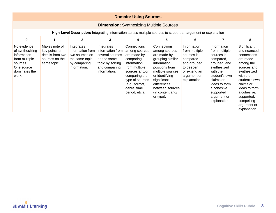|                                                                                                                    | <b>Domain: Using Sources</b>                                                        |                                                                                                    |                                                                                                                       |                                                                                                                                                                                                   |                                                                                                                                                                                                                           |                                                                                                                                   |                                                                                                                                                                                                              |                                                                                                                                                                                                                                       |  |  |
|--------------------------------------------------------------------------------------------------------------------|-------------------------------------------------------------------------------------|----------------------------------------------------------------------------------------------------|-----------------------------------------------------------------------------------------------------------------------|---------------------------------------------------------------------------------------------------------------------------------------------------------------------------------------------------|---------------------------------------------------------------------------------------------------------------------------------------------------------------------------------------------------------------------------|-----------------------------------------------------------------------------------------------------------------------------------|--------------------------------------------------------------------------------------------------------------------------------------------------------------------------------------------------------------|---------------------------------------------------------------------------------------------------------------------------------------------------------------------------------------------------------------------------------------|--|--|
| <b>Dimension:</b> Synthesizing Multiple Sources                                                                    |                                                                                     |                                                                                                    |                                                                                                                       |                                                                                                                                                                                                   |                                                                                                                                                                                                                           |                                                                                                                                   |                                                                                                                                                                                                              |                                                                                                                                                                                                                                       |  |  |
|                                                                                                                    |                                                                                     |                                                                                                    |                                                                                                                       |                                                                                                                                                                                                   | High-Level Description: Integrating information across multiple sources to support an argument or explanation                                                                                                             |                                                                                                                                   |                                                                                                                                                                                                              |                                                                                                                                                                                                                                       |  |  |
| $\mathbf 0$<br>$\mathbf{1}$<br>$\overline{2}$<br>3<br>5<br>6<br>7<br>8<br>4                                        |                                                                                     |                                                                                                    |                                                                                                                       |                                                                                                                                                                                                   |                                                                                                                                                                                                                           |                                                                                                                                   |                                                                                                                                                                                                              |                                                                                                                                                                                                                                       |  |  |
| No evidence<br>of synthesizing<br>information<br>from multiple<br>sources.<br>One source<br>dominates the<br>work. | Makes note of<br>key points or<br>details from two<br>sources on the<br>same topic. | Integrates<br>information from<br>two sources on<br>the same topic<br>by comparing<br>information. | Integrates<br>information from<br>several sources<br>on the same<br>topic by sorting<br>and comparing<br>information. | Connections<br>among sources<br>are made by<br>comparing<br>information<br>from multiple<br>sources and/or<br>comparing the<br>type of sources<br>(e.g., format,<br>genre, time<br>period, etc.). | Connections<br>among sources<br>are made by<br>grouping similar<br>information/<br>positions from<br>multiple sources<br>or identifying<br>significant<br>differences<br>between sources<br>(in content and/<br>or type). | Information<br>from multiple<br>sources is<br>compared<br>and grouped<br>to deepen<br>or extend an<br>argument or<br>explanation. | Information<br>from multiple<br>sources is<br>compared,<br>grouped, and<br>synthesized<br>with the<br>student's own<br>claims or<br>ideas to form<br>a cohesive,<br>supported<br>argument or<br>explanation. | Significant<br>and nuanced<br>connections<br>are made<br>among the<br>sources and<br>synthesized<br>with the<br>student's own<br>claims or<br>ideas to form<br>a cohesive,<br>supported,<br>compelling<br>argument or<br>explanation. |  |  |

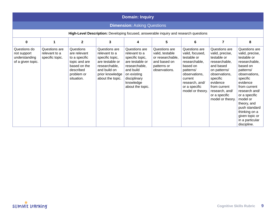|                                                                   | <b>Domain: Inquiry</b>                            |                                                                                                                      |                                                                                                                                              |                                                                                                                                                                    |                                                                                                      |                                                                                                                                                                              |                                                                                                                                                                                                               |                                                                                                                                                                                                                                                                                                       |  |  |
|-------------------------------------------------------------------|---------------------------------------------------|----------------------------------------------------------------------------------------------------------------------|----------------------------------------------------------------------------------------------------------------------------------------------|--------------------------------------------------------------------------------------------------------------------------------------------------------------------|------------------------------------------------------------------------------------------------------|------------------------------------------------------------------------------------------------------------------------------------------------------------------------------|---------------------------------------------------------------------------------------------------------------------------------------------------------------------------------------------------------------|-------------------------------------------------------------------------------------------------------------------------------------------------------------------------------------------------------------------------------------------------------------------------------------------------------|--|--|
| <b>Dimension: Asking Questions</b>                                |                                                   |                                                                                                                      |                                                                                                                                              |                                                                                                                                                                    |                                                                                                      |                                                                                                                                                                              |                                                                                                                                                                                                               |                                                                                                                                                                                                                                                                                                       |  |  |
|                                                                   |                                                   |                                                                                                                      |                                                                                                                                              |                                                                                                                                                                    | High-Level Description: Developing focused, answerable inquiry and research questions                |                                                                                                                                                                              |                                                                                                                                                                                                               |                                                                                                                                                                                                                                                                                                       |  |  |
| 0                                                                 | $\mathbf{1}$                                      | $\mathbf{2}$                                                                                                         | 3                                                                                                                                            | 4                                                                                                                                                                  | 5                                                                                                    | 6                                                                                                                                                                            | $\overline{7}$                                                                                                                                                                                                | 8                                                                                                                                                                                                                                                                                                     |  |  |
| Questions do<br>not support<br>understanding<br>of a given topic. | Questions are<br>relevant to a<br>specific topic. | Questions<br>are relevant<br>to a specific<br>topic and are<br>based on the<br>described<br>problem or<br>situation. | Questions are<br>relevant to a<br>specific topic,<br>are testable or<br>researchable,<br>and build on<br>prior knowledge<br>about the topic. | Questions are<br>relevant to a<br>specific topic,<br>are testable or<br>researchable,<br>and build<br>on existing<br>disciplinary<br>knowledge<br>about the topic. | Questions are<br>valid, testable<br>or researchable,<br>and based on<br>patterns or<br>observations. | Questions are<br>valid, focused,<br>testable or<br>researchable,<br>based on<br>patterns/<br>observations,<br>current<br>research, and/<br>or a specific<br>model or theory. | Questions are<br>valid, precise,<br>testable or<br>researchable,<br>and based<br>on patterns/<br>observations,<br>specific<br>evidence<br>from current<br>research, and/<br>or a specific<br>model or theory. | Questions are<br>valid, precise,<br>testable or<br>researchable,<br>based on<br>patterns/<br>observations.<br>specific<br>evidence<br>from current<br>research and/<br>or a specific<br>model or<br>theory, and<br>push standard<br>thinking on a<br>given topic or<br>in a particular<br>discipline. |  |  |

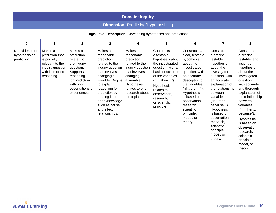|                                                               | <b>Domain: Inquiry</b>                                                                                               |                                                                                                                                                             |                                                                                                                                                                                                                                                                    |                                                                                                                                                                                                |                                                                                                                                                                                                                                       |                                                                                                                                                                                                                                                                              |                                                                                                                                                                                                                                                                                                                         |                                                                                                                                                                                                                                                                                                                                                         |  |  |
|---------------------------------------------------------------|----------------------------------------------------------------------------------------------------------------------|-------------------------------------------------------------------------------------------------------------------------------------------------------------|--------------------------------------------------------------------------------------------------------------------------------------------------------------------------------------------------------------------------------------------------------------------|------------------------------------------------------------------------------------------------------------------------------------------------------------------------------------------------|---------------------------------------------------------------------------------------------------------------------------------------------------------------------------------------------------------------------------------------|------------------------------------------------------------------------------------------------------------------------------------------------------------------------------------------------------------------------------------------------------------------------------|-------------------------------------------------------------------------------------------------------------------------------------------------------------------------------------------------------------------------------------------------------------------------------------------------------------------------|---------------------------------------------------------------------------------------------------------------------------------------------------------------------------------------------------------------------------------------------------------------------------------------------------------------------------------------------------------|--|--|
|                                                               | <b>Dimension: Predicting/Hypothesizing</b>                                                                           |                                                                                                                                                             |                                                                                                                                                                                                                                                                    |                                                                                                                                                                                                |                                                                                                                                                                                                                                       |                                                                                                                                                                                                                                                                              |                                                                                                                                                                                                                                                                                                                         |                                                                                                                                                                                                                                                                                                                                                         |  |  |
| High-Level Description: Developing hypotheses and predictions |                                                                                                                      |                                                                                                                                                             |                                                                                                                                                                                                                                                                    |                                                                                                                                                                                                |                                                                                                                                                                                                                                       |                                                                                                                                                                                                                                                                              |                                                                                                                                                                                                                                                                                                                         |                                                                                                                                                                                                                                                                                                                                                         |  |  |
| $\mathbf 0$                                                   | $\mathbf{1}$                                                                                                         | $\overline{2}$                                                                                                                                              | 3                                                                                                                                                                                                                                                                  | 4                                                                                                                                                                                              | 5                                                                                                                                                                                                                                     | 6                                                                                                                                                                                                                                                                            | $\overline{7}$                                                                                                                                                                                                                                                                                                          | 8                                                                                                                                                                                                                                                                                                                                                       |  |  |
| No evidence of<br>hypothesis or<br>prediction.                | Makes a<br>prediction that<br>is partially<br>relevant to the<br>inquiry question<br>with little or no<br>reasoning. | Makes a<br>prediction<br>related to<br>the inquiry<br>question.<br>Supports<br>reasoning<br>for prediction<br>with prior<br>observations or<br>experiences. | Makes a<br>reasonable<br>prediction<br>related to the<br>inquiry question<br>that involves<br>changing a<br>variable. Begins<br>to explain<br>reasoning for<br>prediction by<br>relating it to<br>prior knowledge<br>such as cause<br>and effect<br>relationships. | Makes a<br>reasonable<br>prediction<br>related to the<br>inquiry question<br>that involves<br>changing<br>a variable.<br><b>Hypothesis</b><br>relates to prior<br>research about<br>the topic. | Constructs<br>a testable<br>hypothesis about<br>the investigated<br>question, with a<br>basic description<br>of the variables<br>("if then").<br>Hypothesis<br>relates to<br>observation,<br>research.<br>or scientific<br>principle. | Constructs a<br>clear, testable<br>hypothesis<br>about the<br>investigated<br>question, with<br>an accurate<br>description of<br>the variables<br>("if then").<br>Hypothesis<br>is based on<br>observation,<br>research,<br>scientific<br>principle,<br>model, or<br>theory. | Constructs<br>a precise,<br>testable<br>hypothesis<br>about the<br>investigated<br>question, with<br>an accurate<br>explanation of<br>the relationship<br>between<br>variables<br>("if then<br>because)".<br>Hypothesis<br>is based on<br>observation,<br>research,<br>scientific<br>principle,<br>model, or<br>theory. | Constructs<br>a precise,<br>testable, and<br>insightful<br>hypothesis<br>about the<br>investigated<br>question,<br>with accurate<br>and thorough<br>explanation of<br>the relationship<br>between<br>variables<br>("if then<br>because").<br>Hypothesis<br>is based on<br>observation,<br>research,<br>scientific<br>principle,<br>model, or<br>theory. |  |  |

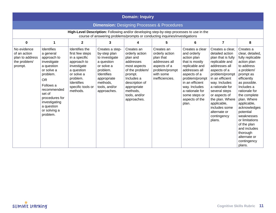|                                                                           | <b>Domain: Inquiry</b>                                                                                                                                                                                                        |                                                                                                                                                                         |                                                                                                                                                                           |                                                                                                                                                                                                |                                                                                                                              |                                                                                                                                                                                                                                         |                                                                                                                                                                                                                                                                                                                     |                                                                                                                                                                                                                                                                                                                                                                        |  |  |
|---------------------------------------------------------------------------|-------------------------------------------------------------------------------------------------------------------------------------------------------------------------------------------------------------------------------|-------------------------------------------------------------------------------------------------------------------------------------------------------------------------|---------------------------------------------------------------------------------------------------------------------------------------------------------------------------|------------------------------------------------------------------------------------------------------------------------------------------------------------------------------------------------|------------------------------------------------------------------------------------------------------------------------------|-----------------------------------------------------------------------------------------------------------------------------------------------------------------------------------------------------------------------------------------|---------------------------------------------------------------------------------------------------------------------------------------------------------------------------------------------------------------------------------------------------------------------------------------------------------------------|------------------------------------------------------------------------------------------------------------------------------------------------------------------------------------------------------------------------------------------------------------------------------------------------------------------------------------------------------------------------|--|--|
| <b>Dimension:</b> Designing Processes & Procedures                        |                                                                                                                                                                                                                               |                                                                                                                                                                         |                                                                                                                                                                           |                                                                                                                                                                                                |                                                                                                                              |                                                                                                                                                                                                                                         |                                                                                                                                                                                                                                                                                                                     |                                                                                                                                                                                                                                                                                                                                                                        |  |  |
|                                                                           | High-Level Description: Following and/or developing step-by-step processes to use in the<br>course of answering problems/prompts or conducting inquiries/investigations                                                       |                                                                                                                                                                         |                                                                                                                                                                           |                                                                                                                                                                                                |                                                                                                                              |                                                                                                                                                                                                                                         |                                                                                                                                                                                                                                                                                                                     |                                                                                                                                                                                                                                                                                                                                                                        |  |  |
| $\mathbf 0$                                                               | 1                                                                                                                                                                                                                             | $\overline{2}$                                                                                                                                                          | 3                                                                                                                                                                         | 4                                                                                                                                                                                              | 5.                                                                                                                           | 6                                                                                                                                                                                                                                       | $\overline{7}$                                                                                                                                                                                                                                                                                                      | 8                                                                                                                                                                                                                                                                                                                                                                      |  |  |
| No evidence<br>of an action<br>plan to address<br>the problem/<br>prompt. | Identifies<br>a general<br>approach to<br>investigate<br>a question<br>or solve a<br>problem.<br><b>OR</b><br>Follows a<br>recommended<br>set of<br>procedures for<br>investigating<br>a question<br>or solving a<br>problem. | Identifies the<br>first few steps<br>in a specific<br>approach to<br>investigate<br>a question<br>or solve a<br>problem.<br>Identifies<br>specific tools or<br>methods. | Creates a step-<br>by-step plan<br>to investigate<br>a question<br>or solve a<br>problem.<br><b>Identifies</b><br>appropriate<br>methods,<br>tools, and/or<br>approaches. | Creates an<br>orderly action<br>plan and<br>addresses<br>most aspects<br>of the problem/<br>prompt.<br>Includes a<br>description of<br>appropriate<br>methods.<br>tools, and/or<br>approaches. | Creates an<br>orderly action<br>plan that<br>addresses all<br>aspects of a<br>problem/prompt<br>with some<br>inefficiencies. | Creates a clear<br>and orderly<br>action plan<br>that is mostly<br>replicable and<br>addresses all<br>aspects of a<br>problem/prompt<br>in an efficient<br>way. Includes<br>a rationale for<br>some steps or<br>aspects of the<br>plan. | Creates a clear,<br>detailed action<br>plan that is fully<br>replicable and<br>addresses all<br>aspects of a<br>problem/prompt<br>in an efficient<br>way. Includes<br>a rationale for<br>several steps<br>or aspects of<br>the plan. Where<br>applicable,<br>includes some<br>alternate or<br>contingency<br>plans. | Creates a<br>clear, detailed,<br>fully replicable<br>action plan<br>to address<br>a problem/<br>prompt as<br>efficiently<br>as possible.<br>Includes a<br>rationale for<br>the complete<br>plan. Where<br>applicable,<br>acknowledges<br>potential<br>weaknesses<br>or limitations<br>of the plan<br>and includes<br>thorough<br>alternate or<br>contingency<br>plans. |  |  |

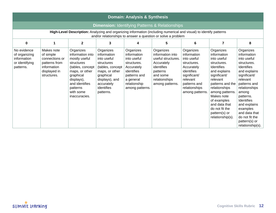|                                                                            | <b>Domain: Analysis &amp; Synthesis</b>                                                                                                                                            |                                                                                                                                                                                           |                                                                                                                                                                     |                                                                                                                                                    |                                                                                                                                             |                                                                                                                                                                    |                                                                                                                                                                                                                                                                               |                                                                                                                                                                                                                                                                                                  |  |  |  |
|----------------------------------------------------------------------------|------------------------------------------------------------------------------------------------------------------------------------------------------------------------------------|-------------------------------------------------------------------------------------------------------------------------------------------------------------------------------------------|---------------------------------------------------------------------------------------------------------------------------------------------------------------------|----------------------------------------------------------------------------------------------------------------------------------------------------|---------------------------------------------------------------------------------------------------------------------------------------------|--------------------------------------------------------------------------------------------------------------------------------------------------------------------|-------------------------------------------------------------------------------------------------------------------------------------------------------------------------------------------------------------------------------------------------------------------------------|--------------------------------------------------------------------------------------------------------------------------------------------------------------------------------------------------------------------------------------------------------------------------------------------------|--|--|--|
| <b>Dimension: Identifying Patterns &amp; Relationships</b>                 |                                                                                                                                                                                    |                                                                                                                                                                                           |                                                                                                                                                                     |                                                                                                                                                    |                                                                                                                                             |                                                                                                                                                                    |                                                                                                                                                                                                                                                                               |                                                                                                                                                                                                                                                                                                  |  |  |  |
|                                                                            | High-Level Description: Analyzing and organizing information (including numerical and visual) to identify patterns<br>and/or relationships to answer a question or solve a problem |                                                                                                                                                                                           |                                                                                                                                                                     |                                                                                                                                                    |                                                                                                                                             |                                                                                                                                                                    |                                                                                                                                                                                                                                                                               |                                                                                                                                                                                                                                                                                                  |  |  |  |
| 0                                                                          | 1                                                                                                                                                                                  | $\overline{2}$                                                                                                                                                                            | 3                                                                                                                                                                   | 4                                                                                                                                                  | 5                                                                                                                                           | 6                                                                                                                                                                  | 7                                                                                                                                                                                                                                                                             | 8                                                                                                                                                                                                                                                                                                |  |  |  |
| No evidence<br>of organizing<br>information<br>or identifying<br>patterns. | Makes note<br>of simple<br>connections or<br>patterns from<br>information<br>displayed in<br>structures.                                                                           | Organizes<br>information into<br>mostly useful<br>structures<br>(tables, concept<br>maps, or other<br>graphical<br>displays),<br>and identifies<br>patterns<br>with some<br>inaccuracies. | Organizes<br>information<br>into useful<br>structures<br>(tables, concept<br>maps, or other<br>graphical<br>displays), and<br>accurately<br>identifies<br>patterns. | Organizes<br>information<br>into useful<br>structures.<br>Accurately<br>identifies<br>patterns and<br>a general<br>relationship<br>among patterns. | Organizes<br>information into<br>useful structures.<br>Accurately<br>identifies<br>patterns<br>and some<br>relationships<br>among patterns. | Organizes<br>information<br>into useful<br>structures.<br>Accurately<br>identifies<br>significant/<br>relevant<br>patterns and<br>relationships<br>among patterns. | Organizes<br>information<br>into useful<br>structures.<br>Identifies<br>and explains<br>significant/<br>relevant<br>patterns and the<br>relationships<br>among patterns.<br>Makes note<br>of examples<br>and data that<br>do not fit the<br>pattern(s) or<br>relationship(s). | Organizes<br>information<br>into useful<br>structures.<br>Identifies<br>and explains<br>significant/<br>relevant<br>patterns and<br>relationships<br>among<br>patterns.<br><b>Identifies</b><br>and explains<br>examples<br>and data that<br>do not fit the<br>pattern(s) or<br>relationship(s). |  |  |  |

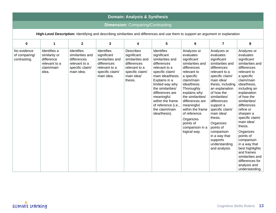|                                              | <b>Domain: Analysis &amp; Synthesis</b>                                                                                            |                                                                                                 |                                                                                                                |                                                                                                                                 |                                                                                                                                                                                                                                                                                               |                                                                                                                                                                                                                                                                                                                             |                                                                                                                                                                                                                                                                                                                                                                                   |                                                                                                                                                                                                                                                                                                                                                                                                                                                             |  |  |  |
|----------------------------------------------|------------------------------------------------------------------------------------------------------------------------------------|-------------------------------------------------------------------------------------------------|----------------------------------------------------------------------------------------------------------------|---------------------------------------------------------------------------------------------------------------------------------|-----------------------------------------------------------------------------------------------------------------------------------------------------------------------------------------------------------------------------------------------------------------------------------------------|-----------------------------------------------------------------------------------------------------------------------------------------------------------------------------------------------------------------------------------------------------------------------------------------------------------------------------|-----------------------------------------------------------------------------------------------------------------------------------------------------------------------------------------------------------------------------------------------------------------------------------------------------------------------------------------------------------------------------------|-------------------------------------------------------------------------------------------------------------------------------------------------------------------------------------------------------------------------------------------------------------------------------------------------------------------------------------------------------------------------------------------------------------------------------------------------------------|--|--|--|
|                                              |                                                                                                                                    |                                                                                                 |                                                                                                                | <b>Dimension: Comparing/Contrasting</b>                                                                                         |                                                                                                                                                                                                                                                                                               |                                                                                                                                                                                                                                                                                                                             |                                                                                                                                                                                                                                                                                                                                                                                   |                                                                                                                                                                                                                                                                                                                                                                                                                                                             |  |  |  |
|                                              | High-Level Description: Identifying and describing similarities and differences and use them to support an argument or explanation |                                                                                                 |                                                                                                                |                                                                                                                                 |                                                                                                                                                                                                                                                                                               |                                                                                                                                                                                                                                                                                                                             |                                                                                                                                                                                                                                                                                                                                                                                   |                                                                                                                                                                                                                                                                                                                                                                                                                                                             |  |  |  |
| $\mathbf 0$                                  | $\mathbf{1}$                                                                                                                       | $\mathbf{2}$                                                                                    | 3                                                                                                              | 4                                                                                                                               | 5                                                                                                                                                                                                                                                                                             | 6                                                                                                                                                                                                                                                                                                                           | $\overline{7}$                                                                                                                                                                                                                                                                                                                                                                    | 8                                                                                                                                                                                                                                                                                                                                                                                                                                                           |  |  |  |
| No evidence<br>of comparing/<br>contrasting. | Identifies a<br>similarity or<br>difference<br>relevant to a<br>claim/main<br>idea.                                                | Identifies<br>similarities and<br>differences<br>relevant to a<br>specific claim/<br>main idea. | Identifies<br>significant<br>similarities and<br>differences<br>relevant to a<br>specific claim/<br>main idea. | <b>Describes</b><br>significant<br>similarities and<br>differences<br>relevant to a<br>specific claim/<br>main idea/<br>thesis. | Identifies<br>significant<br>similarities and<br>differences<br>relevant to a<br>specific claim/<br>main idea/thesis.<br>Explains in a<br>limited way why<br>the similarities/<br>differences are<br>meaningful<br>within the frame<br>of reference (i.e.,<br>the claim/main<br>idea/thesis). | Analyzes or<br>evaluates<br>significant<br>similarities and<br>differences<br>relevant to<br>a specific<br>claim/main<br>idea/thesis.<br>Thoroughly<br>explains why<br>the similarities/<br>differences are<br>meaningful<br>within the frame<br>of reference.<br>Organizes<br>points of<br>comparison in a<br>logical way. | Analyzes or<br>evaluates<br>significant<br>similarities and<br>differences<br>relevant to a<br>specific claim/<br>main idea/<br>thesis, including<br>an explanation<br>of how the<br>similarities/<br>differences<br>support a<br>specific claim/<br>main idea/<br>thesis.<br>Organizes<br>points of<br>comparison<br>in a way that<br>supports<br>understanding<br>and analysis. | Analyzes or<br>evaluates<br>significant<br>similarities and<br>differences<br>relevant to<br>a specific<br>claim/main<br>idea/thesis,<br>including an<br>explanation<br>of how the<br>similarities/<br>differences<br>refine or<br>sharpen a<br>specific claim/<br>main idea/<br>thesis.<br>Organizes<br>points of<br>comparison<br>in a way that<br>best highlights<br>and frames<br>similarities and<br>differences for<br>analysis and<br>understanding. |  |  |  |

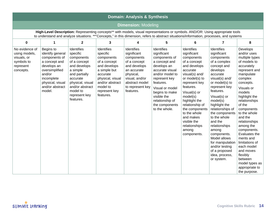|                                                                                        | <b>Domain: Analysis &amp; Synthesis</b>                                                                                                                                                                                                                                     |                                                                                                                                                                                                |                                                                                                                                                                                   |                                                                                                                                                                          |                                                                                                                                                                                                                                                          |                                                                                                                                                                                                                                                                                                                              |                                                                                                                                                                                                                                                                                                                                                                                                                                |                                                                                                                                                                                                                                                                                                                                                                                                                                                 |  |  |  |
|----------------------------------------------------------------------------------------|-----------------------------------------------------------------------------------------------------------------------------------------------------------------------------------------------------------------------------------------------------------------------------|------------------------------------------------------------------------------------------------------------------------------------------------------------------------------------------------|-----------------------------------------------------------------------------------------------------------------------------------------------------------------------------------|--------------------------------------------------------------------------------------------------------------------------------------------------------------------------|----------------------------------------------------------------------------------------------------------------------------------------------------------------------------------------------------------------------------------------------------------|------------------------------------------------------------------------------------------------------------------------------------------------------------------------------------------------------------------------------------------------------------------------------------------------------------------------------|--------------------------------------------------------------------------------------------------------------------------------------------------------------------------------------------------------------------------------------------------------------------------------------------------------------------------------------------------------------------------------------------------------------------------------|-------------------------------------------------------------------------------------------------------------------------------------------------------------------------------------------------------------------------------------------------------------------------------------------------------------------------------------------------------------------------------------------------------------------------------------------------|--|--|--|
|                                                                                        |                                                                                                                                                                                                                                                                             |                                                                                                                                                                                                |                                                                                                                                                                                   | <b>Dimension: Modeling</b>                                                                                                                                               |                                                                                                                                                                                                                                                          |                                                                                                                                                                                                                                                                                                                              |                                                                                                                                                                                                                                                                                                                                                                                                                                |                                                                                                                                                                                                                                                                                                                                                                                                                                                 |  |  |  |
|                                                                                        | High-Level Description: Representing concepts** with models, visual representations or symbols. AND/OR: Using appropriate tools<br>to understand and analyze situations. **"Concepts," in this dimension, refers to abstract situations/information, processes, and systems |                                                                                                                                                                                                |                                                                                                                                                                                   |                                                                                                                                                                          |                                                                                                                                                                                                                                                          |                                                                                                                                                                                                                                                                                                                              |                                                                                                                                                                                                                                                                                                                                                                                                                                |                                                                                                                                                                                                                                                                                                                                                                                                                                                 |  |  |  |
| $\mathbf 0$                                                                            | 1                                                                                                                                                                                                                                                                           | $\mathbf{2}$                                                                                                                                                                                   | 3                                                                                                                                                                                 | 4                                                                                                                                                                        | 5                                                                                                                                                                                                                                                        | 6                                                                                                                                                                                                                                                                                                                            | $\overline{7}$                                                                                                                                                                                                                                                                                                                                                                                                                 | 8                                                                                                                                                                                                                                                                                                                                                                                                                                               |  |  |  |
| No evidence of<br>using models,<br>visuals, or<br>symbols to<br>represent<br>concepts. | Begins to<br>identify general<br>components of<br>a concept and<br>develops an<br>oversimplified<br>and/or<br>incomplete<br>physical, visual<br>and/or abstract<br>model.                                                                                                   | Identifies<br>specific<br>components<br>of a concept<br>and develops<br>a simple<br>and partially<br>accurate<br>physical, visual<br>and/or abstract<br>model to<br>represent key<br>features. | Identifies<br>specific<br>components<br>of a concept<br>and develops<br>a simple but<br>accurate<br>physical, visual<br>and/or abstract<br>model to<br>represent key<br>features. | Identifies<br>significant<br>components<br>of a concept<br>and develops<br>an accurate<br>physical,<br>visual, and/or<br>abstract model<br>to represent key<br>features. | Identifies<br>significant<br>components of<br>a concept and<br>develops an<br>accurate visual<br>and/or model to<br>represent key<br>features.<br>Visual or model<br>begins to make<br>visible the<br>relationship of<br>the components<br>to the whole. | Identifies<br>significant<br>components<br>of a concept<br>and develops<br>accurate<br>visual(s) and/<br>or model(s) to<br>represent key<br>features.<br>Visual(s) or<br>model(s)<br>highlight the<br>relationship of<br>the components<br>to the whole<br>and makes<br>visible the<br>relationships<br>among<br>components. | Identifies<br>significant<br>components<br>of a complex<br>concept and<br>develops<br>accurate<br>visual(s) and/<br>or model(s) to<br>represent key<br>features.<br>Visual(s) or<br>model(s)<br>highlight the<br>relationships of<br>the components<br>to the whole<br>and the<br>relationships<br>among<br>components.<br>Model allows<br>for manipulation<br>and/or testing<br>of a proposed<br>idea, process,<br>or system. | Develops<br>and/or uses<br>multiple types<br>of models to<br>accurately<br>represent and<br>manipulate<br>complex<br>concepts.<br>Visuals or<br>models<br>highlight the<br>relationships<br>of the<br>components<br>to the whole<br>and the<br>relationships<br>among the<br>components.<br>Evaluates the<br>merits and<br>limitations of<br>each model<br>and moves<br>flexibly<br>between<br>model types as<br>appropriate to<br>the purpose. |  |  |  |

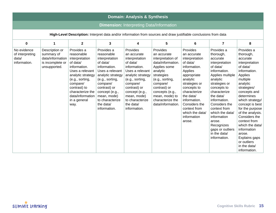|                                                                                                                   | <b>Domain: Analysis &amp; Synthesis</b>                                                                 |                                                                                                                                                                                                             |                                                                                                                                                                                                                                                |                                                                                                                                                                                                                                               |                                                                                                                                                                                                                                          |                                                                                                                                                                                                                                                                       |                                                                                                                                                                                                                                                                                                                                               |                                                                                                                                                                                                                                                                                                                                                                                             |  |  |
|-------------------------------------------------------------------------------------------------------------------|---------------------------------------------------------------------------------------------------------|-------------------------------------------------------------------------------------------------------------------------------------------------------------------------------------------------------------|------------------------------------------------------------------------------------------------------------------------------------------------------------------------------------------------------------------------------------------------|-----------------------------------------------------------------------------------------------------------------------------------------------------------------------------------------------------------------------------------------------|------------------------------------------------------------------------------------------------------------------------------------------------------------------------------------------------------------------------------------------|-----------------------------------------------------------------------------------------------------------------------------------------------------------------------------------------------------------------------------------------------------------------------|-----------------------------------------------------------------------------------------------------------------------------------------------------------------------------------------------------------------------------------------------------------------------------------------------------------------------------------------------|---------------------------------------------------------------------------------------------------------------------------------------------------------------------------------------------------------------------------------------------------------------------------------------------------------------------------------------------------------------------------------------------|--|--|
| <b>Dimension: Interpreting Data/Information</b>                                                                   |                                                                                                         |                                                                                                                                                                                                             |                                                                                                                                                                                                                                                |                                                                                                                                                                                                                                               |                                                                                                                                                                                                                                          |                                                                                                                                                                                                                                                                       |                                                                                                                                                                                                                                                                                                                                               |                                                                                                                                                                                                                                                                                                                                                                                             |  |  |
| High-Level Description: Interpret data and/or information from sources and draw justifiable conclusions from data |                                                                                                         |                                                                                                                                                                                                             |                                                                                                                                                                                                                                                |                                                                                                                                                                                                                                               |                                                                                                                                                                                                                                          |                                                                                                                                                                                                                                                                       |                                                                                                                                                                                                                                                                                                                                               |                                                                                                                                                                                                                                                                                                                                                                                             |  |  |
| $\mathbf 0$                                                                                                       | $\mathbf{1}$                                                                                            | $\overline{2}$                                                                                                                                                                                              | 3                                                                                                                                                                                                                                              | 4                                                                                                                                                                                                                                             | 5                                                                                                                                                                                                                                        | 6                                                                                                                                                                                                                                                                     | $\overline{7}$                                                                                                                                                                                                                                                                                                                                | 8                                                                                                                                                                                                                                                                                                                                                                                           |  |  |
| No evidence<br>of interpreting<br>data/<br>information.                                                           | Description or<br>summary of<br>$data/information$   interpretation<br>is incomplete or<br>unsupported. | Provides a<br>reasonable<br>of data/<br>information.<br>Uses a relevant<br>analytic strategy<br>(e.g., sorting,<br>compare/<br>contrast) to<br>characterize the<br>data/information<br>in a general<br>way. | Provides a<br>reasonable<br>interpretation<br>of data/<br>information.<br>Uses a relevant<br>analytic strategy<br>(e.g., sorting,<br>compare/<br>contrast) or<br>concept (e.g.,<br>mean, mode)<br>to characterize<br>the data/<br>information. | Provides<br>an accurate<br>interpretation<br>of data/<br>information.<br>Uses a relevant<br>analytic strategy<br>(e.g., sorting,<br>compare/<br>contrast) or<br>concept (e.g.,<br>mean, mode)<br>to characterize<br>the data/<br>information. | Provides<br>an accurate<br>interpretation of<br>data/information.<br>Applies some<br>analytic<br>strategies<br>(e.g., sorting,<br>compare/<br>contrast) or<br>concepts (e.g.,<br>mean, mode) to<br>characterize the<br>data/information. | Provides<br>an accurate<br>interpretation<br>of data/<br>information.<br>Applies<br>appropriate<br>analytic<br>strategies or<br>concepts to<br>characterize<br>the data/<br>information.<br>Considers the<br>context from<br>which the data/<br>information<br>arose. | Provides a<br>thorough,<br>accurate<br>interpretation<br>of data/<br>information.<br>Applies multiple<br>analytic<br>strategies or<br>concepts to<br>characterize<br>the data/<br>information.<br>Considers the<br>context from<br>which the data/<br>information<br>arose.<br>Recognizes<br>gaps or outliers<br>in the data/<br>information. | Provides a<br>thorough,<br>accurate<br>interpretation<br>of data/<br>information.<br>Applies<br>multiple<br>analytic<br>strategies/<br>concepts and<br>determines<br>which strategy/<br>concept is best<br>for the purpose<br>of the analysis.<br>Considers the<br>context from<br>which the data/<br>information<br>arose.<br>Explains gaps<br>or outliers<br>in the data/<br>information. |  |  |

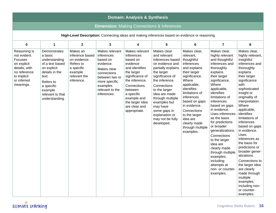| <b>Domain: Analysis &amp; Synthesis</b>                                                                                                   |                                                                                                                                                                                   |                                                                                                                 |                                                                                                                                                                      |                                                                                                                                                                                                                                      |                                                                                                                                                                                                                                                                                                                  |                                                                                                                                                                                                                                                                                                            |                                                                                                                                                                                                                                                                                                                                                                                                                                                                                         |                                                                                                                                                                                                                                                                                                                                                                                                                                                                                                                                                              |  |  |  |
|-------------------------------------------------------------------------------------------------------------------------------------------|-----------------------------------------------------------------------------------------------------------------------------------------------------------------------------------|-----------------------------------------------------------------------------------------------------------------|----------------------------------------------------------------------------------------------------------------------------------------------------------------------|--------------------------------------------------------------------------------------------------------------------------------------------------------------------------------------------------------------------------------------|------------------------------------------------------------------------------------------------------------------------------------------------------------------------------------------------------------------------------------------------------------------------------------------------------------------|------------------------------------------------------------------------------------------------------------------------------------------------------------------------------------------------------------------------------------------------------------------------------------------------------------|-----------------------------------------------------------------------------------------------------------------------------------------------------------------------------------------------------------------------------------------------------------------------------------------------------------------------------------------------------------------------------------------------------------------------------------------------------------------------------------------|--------------------------------------------------------------------------------------------------------------------------------------------------------------------------------------------------------------------------------------------------------------------------------------------------------------------------------------------------------------------------------------------------------------------------------------------------------------------------------------------------------------------------------------------------------------|--|--|--|
|                                                                                                                                           |                                                                                                                                                                                   |                                                                                                                 |                                                                                                                                                                      |                                                                                                                                                                                                                                      | <b>Dimension:</b> Making Connections & Inferences                                                                                                                                                                                                                                                                |                                                                                                                                                                                                                                                                                                            |                                                                                                                                                                                                                                                                                                                                                                                                                                                                                         |                                                                                                                                                                                                                                                                                                                                                                                                                                                                                                                                                              |  |  |  |
|                                                                                                                                           | High-Level Description: Connecting ideas and making inferences based on evidence or reasoning                                                                                     |                                                                                                                 |                                                                                                                                                                      |                                                                                                                                                                                                                                      |                                                                                                                                                                                                                                                                                                                  |                                                                                                                                                                                                                                                                                                            |                                                                                                                                                                                                                                                                                                                                                                                                                                                                                         |                                                                                                                                                                                                                                                                                                                                                                                                                                                                                                                                                              |  |  |  |
| 0                                                                                                                                         | 1                                                                                                                                                                                 | $\mathbf{2}$                                                                                                    | 3                                                                                                                                                                    | 4                                                                                                                                                                                                                                    | 5                                                                                                                                                                                                                                                                                                                | 6                                                                                                                                                                                                                                                                                                          | $\overline{\mathbf{z}}$                                                                                                                                                                                                                                                                                                                                                                                                                                                                 | 8                                                                                                                                                                                                                                                                                                                                                                                                                                                                                                                                                            |  |  |  |
| Reasoning is<br>not evident.<br><b>Focuses</b><br>on explicit<br>details, with<br>no reference<br>to implicit<br>or inferred<br>meanings. | Demonstrates<br>a basic<br>understanding<br>of a text based<br>on explicit<br>details in the<br>text.<br>Refers to<br>a specific<br>example<br>relevant to that<br>understanding. | Makes an<br>inference based<br>on evidence.<br>Refers to<br>a specific<br>example<br>relevant the<br>inference. | Makes relevant<br>inferences<br>based on<br>evidence.<br>Makes clear<br>connections<br>between two or<br>more specific<br>examples<br>relevant to the<br>inferences. | Makes relevant<br>inferences<br>based on<br>evidence<br>and identifies<br>the larger<br>significance of<br>the inference.<br>Connections<br>between<br>a specific<br>example and<br>the larger idea<br>are clear and<br>appropriate. | Makes clear<br>and relevant<br>inferences based<br>on evidence and<br>partially explains<br>the larger<br>significance of<br>the inference.<br>Connections<br>to the larger<br>idea are made<br>through multiple<br>examples but<br>may have<br>some gaps in<br>explanation or<br>may not be fully<br>developed. | Makes clear,<br>relevant,<br>thoughtful<br>inferences<br>and explains<br>their larger<br>significance.<br>Where<br>applicable,<br>identifies<br>limitations of<br>inferences<br>based on gaps<br>in evidence.<br>Connections<br>to the larger<br>idea are<br>clearly made<br>through multiple<br>examples. | Makes clear,<br>highly relevant<br>and thoughtful<br>inferences and<br>thoroughly<br>explains<br>their larger<br>significance.<br>Where<br>applicable,<br>identifies<br>limitations of<br>inferences<br>based on gaps<br>in evidence.<br>Uses inferences<br>as the basis<br>for predictions<br>or broader<br>generalizations.<br>Connections<br>to the larger<br>idea are<br>clearly made<br>through multiple<br>examples,<br>including<br>attempts at<br>non- or counter-<br>examples. | Makes clear,<br>highly relevant,<br>insightful<br>inferences and<br>thoroughly<br>explains<br>their larger<br>significance<br>with<br>sophisticated<br>insight or<br>originality of<br>interpretation.<br>Where<br>applicable,<br>identifies<br>limitations of<br>inferences<br>based on gaps<br>in evidence.<br><b>Uses</b><br>inferences as<br>the basis for<br>predictions or<br>broader gener-<br>alizations.<br>Connections to<br>the larger idea<br>are clearly<br>made through<br>multiple<br>examples,<br>including non-<br>or counter-<br>examples. |  |  |  |

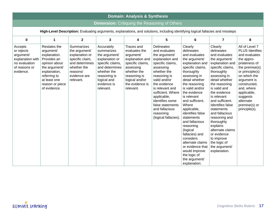| <b>Domain: Analysis &amp; Synthesis</b>                                                                                         |                                                                                                                                                                               |                                                                                                                                            |                                                                                                                                                                             |                                                                                                                                                                                      |                                                                                                                                                                                                                                                                                                                            |                                                                                                                                                                                                                                                                                                                                                                                                                                                                                    |                                                                                                                                                                                                                                                                                                                                                                                                                                           |                                                                                                                                                                                                                                                                     |  |  |
|---------------------------------------------------------------------------------------------------------------------------------|-------------------------------------------------------------------------------------------------------------------------------------------------------------------------------|--------------------------------------------------------------------------------------------------------------------------------------------|-----------------------------------------------------------------------------------------------------------------------------------------------------------------------------|--------------------------------------------------------------------------------------------------------------------------------------------------------------------------------------|----------------------------------------------------------------------------------------------------------------------------------------------------------------------------------------------------------------------------------------------------------------------------------------------------------------------------|------------------------------------------------------------------------------------------------------------------------------------------------------------------------------------------------------------------------------------------------------------------------------------------------------------------------------------------------------------------------------------------------------------------------------------------------------------------------------------|-------------------------------------------------------------------------------------------------------------------------------------------------------------------------------------------------------------------------------------------------------------------------------------------------------------------------------------------------------------------------------------------------------------------------------------------|---------------------------------------------------------------------------------------------------------------------------------------------------------------------------------------------------------------------------------------------------------------------|--|--|
|                                                                                                                                 |                                                                                                                                                                               |                                                                                                                                            |                                                                                                                                                                             |                                                                                                                                                                                      | <b>Dimension:</b> Critiquing the Reasoning of Others                                                                                                                                                                                                                                                                       |                                                                                                                                                                                                                                                                                                                                                                                                                                                                                    |                                                                                                                                                                                                                                                                                                                                                                                                                                           |                                                                                                                                                                                                                                                                     |  |  |
| High-Level Description: Evaluating arguments, explanations, and solutions, including identifying logical fallacies and missteps |                                                                                                                                                                               |                                                                                                                                            |                                                                                                                                                                             |                                                                                                                                                                                      |                                                                                                                                                                                                                                                                                                                            |                                                                                                                                                                                                                                                                                                                                                                                                                                                                                    |                                                                                                                                                                                                                                                                                                                                                                                                                                           |                                                                                                                                                                                                                                                                     |  |  |
| $\mathbf 0$                                                                                                                     | $\mathbf{1}$                                                                                                                                                                  | $\mathbf{2}$                                                                                                                               | 3                                                                                                                                                                           | 4                                                                                                                                                                                    | 5                                                                                                                                                                                                                                                                                                                          | 6                                                                                                                                                                                                                                                                                                                                                                                                                                                                                  | $\overline{7}$                                                                                                                                                                                                                                                                                                                                                                                                                            | 8                                                                                                                                                                                                                                                                   |  |  |
| Accepts<br>or rejects<br>argument/<br>explanation with<br>no evaluation<br>of reasons or<br>evidence.                           | Restates the<br>argument/<br>explanation.<br>Provides an<br>opinion about<br>the argument/<br>explanation,<br>referring to<br>at least one<br>reason or piece<br>of evidence. | Summarizes<br>the argument/<br>explanation or<br>specific claim,<br>and determines<br>whether the<br>reasons/<br>evidence are<br>relevant. | Accurately<br>summarizes<br>the argument/<br>explanation or<br>specific claims,<br>and determines<br>whether the<br>reasoning is<br>logical and<br>evidence is<br>relevant. | <b>Traces</b> and<br>evaluates the<br>argument/<br>explanation and<br>specific claims,<br>assessing<br>whether the<br>reasoning is<br>logical and/or<br>the evidence is<br>relevant. | <b>Delineates</b><br>and evaluates<br>the argument/<br>explanation and<br>specific claims,<br>assessing<br>whether the<br>reasoning is<br>valid and/or<br>the evidence<br>is relevant and<br>sufficient. Where<br>applicable,<br>identifies some<br>false statements<br>and fallacious<br>reasoning<br>(logical fallacies) | Clearly<br>delineates<br>and evaluates<br>the argument/<br>explanation and<br>specific claims,<br>thoroughly<br>assessing in<br>detail whether<br>the reasoning<br>is valid and/or<br>the evidence<br>is relevant<br>and sufficient.<br>Where<br>applicable,<br>identifies false<br>statements<br>and fallacious<br>reasoning<br>(logical<br>fallacies) and<br>considers<br>alternate claims<br>or evidence that<br>would improve<br>the logic of<br>the argument/<br>explanation. | Clearly<br>delineates<br>and evaluates<br>the argument/<br>explanation and<br>specific claims,<br>thoroughly<br>assessing in<br>detail whether<br>the reasoning<br>is valid and<br>the evidence<br>is relevant<br>and sufficient.<br><b>Identifies false</b><br>statements<br>and fallacious<br>reasoning and<br>thoroughly<br>explains<br>alternate claims<br>or evidence<br>to improve<br>the logic of<br>the argument/<br>explanation. | All of Level 7<br><b>PLUS Identfies</b><br>and evaluates<br>the appro-<br>priateness of<br>the premise(s)<br>or principle(s)<br>on which the<br>argument is<br>constructed,<br>and, where<br>applicable,<br>suggests<br>alternate<br>premise(s) or<br>principle(s). |  |  |

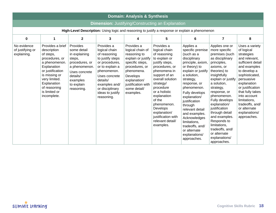|                                                                                                 | <b>Domain: Analysis &amp; Synthesis</b>                                                                                                                                                                             |                                                                                                                                                            |                                                                                                                                                                                                                        |                                                                                                                                                                                                        |                                                                                                                                                                                                                                                                                                                             |                                                                                                                                                                                                                                                                                                                                                                                         |                                                                                                                                                                                                                                                                                                                                                                                                            |                                                                                                                                                                                                                                                                                                            |  |  |  |
|-------------------------------------------------------------------------------------------------|---------------------------------------------------------------------------------------------------------------------------------------------------------------------------------------------------------------------|------------------------------------------------------------------------------------------------------------------------------------------------------------|------------------------------------------------------------------------------------------------------------------------------------------------------------------------------------------------------------------------|--------------------------------------------------------------------------------------------------------------------------------------------------------------------------------------------------------|-----------------------------------------------------------------------------------------------------------------------------------------------------------------------------------------------------------------------------------------------------------------------------------------------------------------------------|-----------------------------------------------------------------------------------------------------------------------------------------------------------------------------------------------------------------------------------------------------------------------------------------------------------------------------------------------------------------------------------------|------------------------------------------------------------------------------------------------------------------------------------------------------------------------------------------------------------------------------------------------------------------------------------------------------------------------------------------------------------------------------------------------------------|------------------------------------------------------------------------------------------------------------------------------------------------------------------------------------------------------------------------------------------------------------------------------------------------------------|--|--|--|
|                                                                                                 |                                                                                                                                                                                                                     |                                                                                                                                                            |                                                                                                                                                                                                                        |                                                                                                                                                                                                        | <b>Dimension: Justifying/Constructing an Explanation</b>                                                                                                                                                                                                                                                                    |                                                                                                                                                                                                                                                                                                                                                                                         |                                                                                                                                                                                                                                                                                                                                                                                                            |                                                                                                                                                                                                                                                                                                            |  |  |  |
| High-Level Description: Using logic and reasoning to justify a response or explain a phenomenon |                                                                                                                                                                                                                     |                                                                                                                                                            |                                                                                                                                                                                                                        |                                                                                                                                                                                                        |                                                                                                                                                                                                                                                                                                                             |                                                                                                                                                                                                                                                                                                                                                                                         |                                                                                                                                                                                                                                                                                                                                                                                                            |                                                                                                                                                                                                                                                                                                            |  |  |  |
| $\bf{0}$                                                                                        | $\mathbf{1}$                                                                                                                                                                                                        | $\mathbf{2}$                                                                                                                                               | 3                                                                                                                                                                                                                      | 4                                                                                                                                                                                                      | 5                                                                                                                                                                                                                                                                                                                           | 6                                                                                                                                                                                                                                                                                                                                                                                       | $\overline{7}$                                                                                                                                                                                                                                                                                                                                                                                             | 8                                                                                                                                                                                                                                                                                                          |  |  |  |
| No evidence<br>of justifying or<br>explaining.                                                  | Provides a brief<br>description<br>of steps,<br>procedures, or<br>a phenomenon.<br>Explanation<br>or justification<br>is missing or<br>very limited.<br>Explanation<br>of reasoning<br>is limited or<br>incomplete. | Provides<br>some detail<br>in explaining<br>steps,<br>procedures, or<br>a phenomenon.<br>Uses concrete<br>details/<br>examples<br>to explain<br>reasoning. | Provides a<br>logical chain<br>of reasoning<br>to justify steps<br>or procedures,<br>or to explain a<br>phenomenon.<br>Uses concrete<br>details/<br>examples and/<br>or disciplinary<br>ideas to justify<br>reasoning. | Provides a<br>logical chain of<br>reasoning to<br>explain or justify<br>specific steps,<br>procedures, or<br>phenomena.<br>Develops<br>explanation/<br>justification with<br>some detail/<br>examples. | Provides a<br>logical chain<br>of reasoning<br>to explain or<br>justify steps,<br>procedures, or<br>phenomena in<br>support of an<br>overall solution<br>strategy/<br>procedure<br>or a holistic<br>explanation<br>of the<br>phenomenon.<br>Develops<br>explanation/<br>justification with<br>relevant detail/<br>examples. | Applies a<br>specific premise<br>(such as a<br>disciplinary<br>principle, axiom,<br>or theory) to<br>explain or justify<br>a solution,<br>strategy,<br>response, or<br>phenomenon.<br>Fully develops<br>explanation/<br>justification<br>through<br>relevant detail<br>and examples.<br>Acknowledges<br>limitations,<br>tradeoffs, and/<br>or alternate<br>explanations/<br>approaches. | Applies one or<br>more specific<br>premises (such<br>as disciplinary<br>principles,<br>axioms, or<br>theories) to<br>insightfully<br>explain or justify<br>a solution,<br>strategy,<br>response, or<br>phenomenon.<br>Fully develops<br>explanation/<br>justification<br>through detail<br>and examples.<br>Responds to<br>limitations,<br>tradeoffs, and/<br>or alternate<br>explanations/<br>approaches. | Uses a variety<br>of logical<br>strategies<br>and relevant,<br>sufficient detail<br>and examples<br>to develop a<br>sophisticated,<br>persuasive<br>explanation<br>or justification<br>that fully takes<br>into account<br>limitations,<br>tradeoffs, and/<br>or alternate<br>explanations/<br>approaches. |  |  |  |

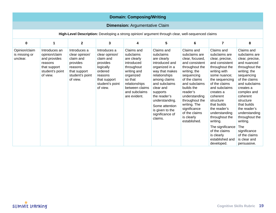|                                                                                                    | <b>Domain: Composing/Writing</b>                                                                         |                                                                                                                   |                                                                                                                                           |                                                                                                                                                                               |                                                                                                                                                                                                                                                                              |                                                                                                                                                                                                                                                                                                |                                                                                                                                                                                                                                                                                                                                                                                |                                                                                                                                                                                                                                                                                                                                                                  |  |  |
|----------------------------------------------------------------------------------------------------|----------------------------------------------------------------------------------------------------------|-------------------------------------------------------------------------------------------------------------------|-------------------------------------------------------------------------------------------------------------------------------------------|-------------------------------------------------------------------------------------------------------------------------------------------------------------------------------|------------------------------------------------------------------------------------------------------------------------------------------------------------------------------------------------------------------------------------------------------------------------------|------------------------------------------------------------------------------------------------------------------------------------------------------------------------------------------------------------------------------------------------------------------------------------------------|--------------------------------------------------------------------------------------------------------------------------------------------------------------------------------------------------------------------------------------------------------------------------------------------------------------------------------------------------------------------------------|------------------------------------------------------------------------------------------------------------------------------------------------------------------------------------------------------------------------------------------------------------------------------------------------------------------------------------------------------------------|--|--|
|                                                                                                    | <b>Dimension: Argumentative Claim</b>                                                                    |                                                                                                                   |                                                                                                                                           |                                                                                                                                                                               |                                                                                                                                                                                                                                                                              |                                                                                                                                                                                                                                                                                                |                                                                                                                                                                                                                                                                                                                                                                                |                                                                                                                                                                                                                                                                                                                                                                  |  |  |
| High-Level Description: Developing a strong opinion/ argument through clear, well-sequenced claims |                                                                                                          |                                                                                                                   |                                                                                                                                           |                                                                                                                                                                               |                                                                                                                                                                                                                                                                              |                                                                                                                                                                                                                                                                                                |                                                                                                                                                                                                                                                                                                                                                                                |                                                                                                                                                                                                                                                                                                                                                                  |  |  |
| $\mathbf 0$                                                                                        | $\mathbf{1}$                                                                                             | $\mathbf{2}$                                                                                                      | 3                                                                                                                                         | 4                                                                                                                                                                             | 5                                                                                                                                                                                                                                                                            | 6                                                                                                                                                                                                                                                                                              | $\overline{\mathbf{z}}$                                                                                                                                                                                                                                                                                                                                                        | 8                                                                                                                                                                                                                                                                                                                                                                |  |  |
| Opinion/claim<br>is missing or<br>unclear.                                                         | Introduces an<br>opinion/claim<br>and provides<br>reasons<br>that support<br>student's point<br>of view. | Introduces a<br>clear opinion/<br>claim and<br>provides<br>reasons<br>that support<br>student's point<br>of view. | Introduces a<br>clear opinion/<br>claim and<br>provides<br>logically<br>ordered<br>reasons<br>that support<br>student's point<br>of view. | Claims and<br>subclaims<br>are clearly<br>introduced<br>throughout<br>writing and<br>organized<br>so that<br>relationships<br>between claims<br>and subclaims<br>are evident. | Claims and<br>subclaims<br>are clearly<br>introduced and<br>organized in a<br>way that makes<br>relationships<br>among claims<br>and subclaims<br>clear and<br>supports<br>the reader's<br>understanding.<br>Some attention<br>is given to the<br>significance of<br>claims. | Claims and<br>subclaims are<br>clear, focused,<br>and consistent<br>throughout the<br>writing; the<br>sequencing<br>of the claims<br>and subclaims<br>builds the<br>reader's<br>understanding<br>throughout the<br>writing. The<br>significance<br>of the claims<br>is clearly<br>established. | Claims and<br>subclaims are<br>clear, precise,<br>and consistent<br>throughout the<br>writing with<br>some nuance;<br>the sequencing<br>of the claims<br>and subclaims<br>creates a<br>coherent<br>structure<br>that builds<br>the reader's<br>understanding<br>throughout the<br>writing.<br>The significance<br>of the claims<br>is clearly<br>established and<br>developed. | Claims and<br>subclaims are<br>clear, precise,<br>and nuanced<br>throughout the<br>writing; the<br>sequencing<br>of the claims<br>and subclaims<br>creates a<br>complex and<br>coherent<br>structure<br>that builds<br>the reader's<br>understanding<br>throughout the<br>writing.<br><b>The</b><br>significance<br>of the claims<br>is clear and<br>persuasive. |  |  |

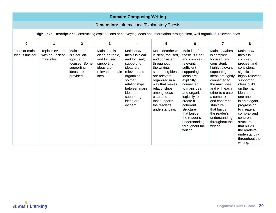|                                                                                                                                    | <b>Domain: Composing/Writing</b>                   |                                                                                                   |                                                                                                          |                                                                                                                                                                                                      |                                                                                                                                                                                                                                                                 |                                                                                                                                                                                                                                                                                                    |                                                                                                                                                                                                                                                                                                                   |                                                                                                                                                                                                                                                                                                                                                      |  |  |
|------------------------------------------------------------------------------------------------------------------------------------|----------------------------------------------------|---------------------------------------------------------------------------------------------------|----------------------------------------------------------------------------------------------------------|------------------------------------------------------------------------------------------------------------------------------------------------------------------------------------------------------|-----------------------------------------------------------------------------------------------------------------------------------------------------------------------------------------------------------------------------------------------------------------|----------------------------------------------------------------------------------------------------------------------------------------------------------------------------------------------------------------------------------------------------------------------------------------------------|-------------------------------------------------------------------------------------------------------------------------------------------------------------------------------------------------------------------------------------------------------------------------------------------------------------------|------------------------------------------------------------------------------------------------------------------------------------------------------------------------------------------------------------------------------------------------------------------------------------------------------------------------------------------------------|--|--|
|                                                                                                                                    | <b>Dimension: Informational/Explanatory Thesis</b> |                                                                                                   |                                                                                                          |                                                                                                                                                                                                      |                                                                                                                                                                                                                                                                 |                                                                                                                                                                                                                                                                                                    |                                                                                                                                                                                                                                                                                                                   |                                                                                                                                                                                                                                                                                                                                                      |  |  |
| High-Level Description: Constructing explanations or conveying ideas and information through clear, well-organized, relevant ideas |                                                    |                                                                                                   |                                                                                                          |                                                                                                                                                                                                      |                                                                                                                                                                                                                                                                 |                                                                                                                                                                                                                                                                                                    |                                                                                                                                                                                                                                                                                                                   |                                                                                                                                                                                                                                                                                                                                                      |  |  |
| 0                                                                                                                                  | $\mathbf{1}$                                       | $\overline{2}$                                                                                    | 3                                                                                                        | 4                                                                                                                                                                                                    | 5                                                                                                                                                                                                                                                               | 6                                                                                                                                                                                                                                                                                                  | $\overline{\mathbf{z}}$                                                                                                                                                                                                                                                                                           | 8                                                                                                                                                                                                                                                                                                                                                    |  |  |
| Topic or main<br>idea is unclear.                                                                                                  | Topic is evident<br>with an unclear<br>main idea.  | Main idea<br>is clear, on-<br>topic, and<br>focused. Some<br>supporting<br>ideas are<br>provided. | Main idea is<br>clear, on-topic,<br>and focused;<br>supporting<br>ideas are<br>relevant to main<br>idea. | Main idea/<br>thesis is clear<br>and focused;<br>supporting<br>ideas are<br>relevant and<br>organized<br>so that<br>relationships<br>between main<br>idea and<br>supporting<br>ideas are<br>evident. | Main idea/thesis<br>is clear, focused,<br>and consistent<br>throughout<br>the writing;<br>supporting ideas<br>are relevant,<br>organized in a<br>way that makes<br>relationships<br>among ideas<br>clear and<br>that supports<br>the reader's<br>understanding. | Main idea/<br>thesis is clear<br>and complex;<br>relevant,<br>sufficient<br>supporting<br>ideas are<br>explicitly<br>connected<br>to main idea<br>and organized<br>logically to<br>create a<br>coherent<br>structure<br>that builds<br>the reader's<br>understanding<br>throughout the<br>writing. | Main idea/thesis<br>is complex,<br>focused, and<br>consistent;<br>highly relevant<br>supporting<br>ideas are tightly<br>connected to<br>the main idea<br>and with each<br>other to create<br>a complex<br>and coherent<br>structure<br>that builds<br>the reader's<br>understanding<br>throughout the<br>writing. | Main idea/<br>thesis is<br>complex,<br>precise, and<br>consistent;<br>significant,<br>highly relevant<br>supporting<br>ideas build<br>on the main<br>idea and on<br>one another<br>in an elegant<br>progression<br>to create a<br>complex and<br>coherent<br>structure<br>that builds<br>the reader's<br>understanding<br>throughout the<br>writing. |  |  |

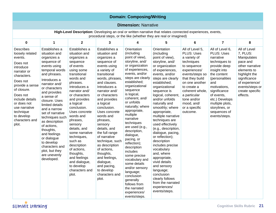| <b>Domain: Composing/Writing</b>                                                                                                                                                                                                                                  |                                                                                                                                                                                                                                                                                                                                                                                                                                                        |                                                                                                                                                                                                                                                                                                                                                                                                                                                                   |                                                                                                                                                                                                                                                                                                                                                                                                                                                                                                             |                                                                                                                                                                                                                                                                                                                                                                                                                                                                                                                                                                                                            |                                                                                                                                                                                                                                                                                                                                                                                                                                                                                                                                                                                                                                         |                                                                                                                                                                                                                                                                |                                                                                                                                                                                                                                                                           |                                                                                                                                                                                            |  |
|-------------------------------------------------------------------------------------------------------------------------------------------------------------------------------------------------------------------------------------------------------------------|--------------------------------------------------------------------------------------------------------------------------------------------------------------------------------------------------------------------------------------------------------------------------------------------------------------------------------------------------------------------------------------------------------------------------------------------------------|-------------------------------------------------------------------------------------------------------------------------------------------------------------------------------------------------------------------------------------------------------------------------------------------------------------------------------------------------------------------------------------------------------------------------------------------------------------------|-------------------------------------------------------------------------------------------------------------------------------------------------------------------------------------------------------------------------------------------------------------------------------------------------------------------------------------------------------------------------------------------------------------------------------------------------------------------------------------------------------------|------------------------------------------------------------------------------------------------------------------------------------------------------------------------------------------------------------------------------------------------------------------------------------------------------------------------------------------------------------------------------------------------------------------------------------------------------------------------------------------------------------------------------------------------------------------------------------------------------------|-----------------------------------------------------------------------------------------------------------------------------------------------------------------------------------------------------------------------------------------------------------------------------------------------------------------------------------------------------------------------------------------------------------------------------------------------------------------------------------------------------------------------------------------------------------------------------------------------------------------------------------------|----------------------------------------------------------------------------------------------------------------------------------------------------------------------------------------------------------------------------------------------------------------|---------------------------------------------------------------------------------------------------------------------------------------------------------------------------------------------------------------------------------------------------------------------------|--------------------------------------------------------------------------------------------------------------------------------------------------------------------------------------------|--|
|                                                                                                                                                                                                                                                                   |                                                                                                                                                                                                                                                                                                                                                                                                                                                        |                                                                                                                                                                                                                                                                                                                                                                                                                                                                   |                                                                                                                                                                                                                                                                                                                                                                                                                                                                                                             | <b>Dimension: Narrative</b>                                                                                                                                                                                                                                                                                                                                                                                                                                                                                                                                                                                |                                                                                                                                                                                                                                                                                                                                                                                                                                                                                                                                                                                                                                         |                                                                                                                                                                                                                                                                |                                                                                                                                                                                                                                                                           |                                                                                                                                                                                            |  |
|                                                                                                                                                                                                                                                                   |                                                                                                                                                                                                                                                                                                                                                                                                                                                        |                                                                                                                                                                                                                                                                                                                                                                                                                                                                   |                                                                                                                                                                                                                                                                                                                                                                                                                                                                                                             |                                                                                                                                                                                                                                                                                                                                                                                                                                                                                                                                                                                                            | High-Level Description: Developing an oral or written narrative that relates connected experiences, events,<br>procedural steps, or the like (whether they are real or imagined)                                                                                                                                                                                                                                                                                                                                                                                                                                                        |                                                                                                                                                                                                                                                                |                                                                                                                                                                                                                                                                           |                                                                                                                                                                                            |  |
| 0                                                                                                                                                                                                                                                                 | 1                                                                                                                                                                                                                                                                                                                                                                                                                                                      | $\overline{2}$                                                                                                                                                                                                                                                                                                                                                                                                                                                    | 3                                                                                                                                                                                                                                                                                                                                                                                                                                                                                                           | 4                                                                                                                                                                                                                                                                                                                                                                                                                                                                                                                                                                                                          | 5                                                                                                                                                                                                                                                                                                                                                                                                                                                                                                                                                                                                                                       | $\bf 6$                                                                                                                                                                                                                                                        | $\overline{\mathbf{z}}$                                                                                                                                                                                                                                                   | 8                                                                                                                                                                                          |  |
| Describes<br>loosely related<br>events.<br>Does not<br>introduce<br>narrator or<br>characters.<br>Does not<br>provide a sense<br>of closure.<br>Does not<br>include details<br>or does not<br>use narrative<br>technique<br>to develop<br>characters and<br>plot. | Establishes a<br>situation and<br>organizes a<br>sequence of<br>events using<br>temporal words<br>and phrases.<br>Introduces a<br>narrator and/<br>or characters<br>and provides<br>a sense of<br>closure. Uses<br>limited details<br>and a narrow<br>set of narrative<br>techniques such<br>as description<br>of actions,<br>thoughts,<br>and feelings<br>or dialogue<br>to develop<br>characters and<br>plot, but they<br>are unevenly<br>developed. | Establishes a<br>situation and<br>organizes a<br>sequence<br>of events<br>using some<br>transitional<br>words and<br>phrases.<br>Introduces a<br>narrator and/<br>or characters<br>and provides<br>a logical<br>conclusion.<br>Uses concrete<br>words and<br>phrases,<br>sensory<br>details, and<br>some narrative<br>techniques,<br>such as<br>description<br>of actions,<br>thoughts,<br>and feelings<br>and dialogue,<br>to develop<br>characters and<br>plot. | Establishes a<br>situation and<br>organizes a<br>sequence of<br>events using<br>a variety of<br>transitional<br>words, phrases,<br>and clauses.<br>Introduces a<br>narrator and/<br>or characters<br>and provides<br>a logical<br>conclusion.<br>Uses concrete<br>words and<br>phrases,<br>sensory<br>details, and<br>the full range<br>of narrative<br>technique, such<br>as description<br>of actions,<br>thoughts,<br>and feelings,<br>dialogue,<br>and pacing,<br>to develop<br>characters and<br>plot. | Orientation<br>(including<br>point of view),<br>storyline, and/<br>or organization<br>of experiences,<br>events, and/or<br>steps are clearly<br>established;<br>organizational<br>sequence<br>is logical,<br>coherent, and/<br>or unfolds<br>naturally; where<br>appropriate,<br>multiple<br>narrative<br>techniques<br>are used (e.g.,<br>description,<br>dialogue,<br>pacing, or<br>reflection);<br>description<br>includes<br>some precise<br>vocabulary and<br>some details<br>and/or sensory<br>language;<br>conclusion<br>generally<br>follows from<br>the narrated<br>experiences/<br>events/steps. | Orientation<br>(including<br>point of view),<br>storyline, and/<br>or organization<br>of experiences,<br>events, and/or<br>steps are clearly<br>established;<br>organizational<br>sequence is<br>logical, coherent,<br>and/or unfolds<br>naturally and<br>smoothly; where<br>appropriate,<br>multiple narrative<br>techniques are<br>used effectively<br>(e.g., description,<br>dialogue, pacing,<br>or reflection);<br>description<br>includes precise<br>vocabulary<br>and, where<br>appropriate,<br>vivid details<br>and sensory<br>language;<br>conclusion<br>clearly follows<br>from the narrated<br>experiences/<br>events/steps. | All of Level 5,<br>PLUS: Uses<br>a variety of<br>techniques<br>to sequence<br>experiences/<br>events/steps so<br>that they build<br>on one another<br>to create a<br>coherent whole,<br>a particular<br>tone and/or<br>mood, and/<br>or a specific<br>outcome. | All of Level 6,<br>PLUS: Uses<br>narrative<br>techniques to<br>provide deep<br>insight into<br>the content<br>(personalities<br>and<br>motivations,<br>significance<br>of events,<br>etc.) Develops<br>multiple plots,<br>storylines, or<br>sequences of<br>events/steps. | All of Level<br>7, PLUS:<br>Manipulates<br>pace and<br>other narrative<br>elements to<br>highlight the<br>significance<br>of experience/<br>events/steps or<br>create specific<br>effects. |  |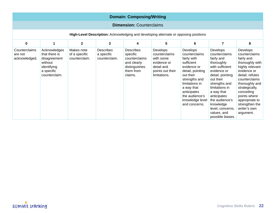| <b>Domain: Composing/Writing</b>                                                     |                                                                                                        |                                              |                                                 |                                                                                                |                                                                                                         |                                                                                                                                                                                                                              |                                                                                                                                                                                                                                                                                |                                                                                                                                                                                                                                                                    |  |  |
|--------------------------------------------------------------------------------------|--------------------------------------------------------------------------------------------------------|----------------------------------------------|-------------------------------------------------|------------------------------------------------------------------------------------------------|---------------------------------------------------------------------------------------------------------|------------------------------------------------------------------------------------------------------------------------------------------------------------------------------------------------------------------------------|--------------------------------------------------------------------------------------------------------------------------------------------------------------------------------------------------------------------------------------------------------------------------------|--------------------------------------------------------------------------------------------------------------------------------------------------------------------------------------------------------------------------------------------------------------------|--|--|
| <b>Dimension: Counterclaims</b>                                                      |                                                                                                        |                                              |                                                 |                                                                                                |                                                                                                         |                                                                                                                                                                                                                              |                                                                                                                                                                                                                                                                                |                                                                                                                                                                                                                                                                    |  |  |
| High-Level Description: Acknowledging and developing alternate or opposing positions |                                                                                                        |                                              |                                                 |                                                                                                |                                                                                                         |                                                                                                                                                                                                                              |                                                                                                                                                                                                                                                                                |                                                                                                                                                                                                                                                                    |  |  |
| $\bf{0}$                                                                             | $\mathbf{1}$                                                                                           | $\overline{2}$                               | 3                                               | 4                                                                                              | 5                                                                                                       | 6                                                                                                                                                                                                                            | $\overline{7}$                                                                                                                                                                                                                                                                 | 8                                                                                                                                                                                                                                                                  |  |  |
| Counterclaims<br>are not<br>acknowledged.                                            | Acknowledges<br>that there is<br>disagreement<br>without<br>identifying<br>a specific<br>counterclaim. | Makes note<br>of a specific<br>counterclaim. | <b>Describes</b><br>a specific<br>counterclaim. | Describes<br>specific<br>counterclaims<br>and clearly<br>distinguishes<br>them from<br>claims. | Develops<br>counterclaims<br>with some<br>evidence or<br>detail and<br>points out their<br>limitations. | Develops<br>counterclaims<br>fairly with<br>sufficient<br>evidence or<br>detail, pointing<br>out their<br>strengths and<br>limitations in<br>a way that<br>anticipates<br>the audience's<br>knowledge level<br>and concerns. | Develops<br>counterclaims<br>fairly and<br>thoroughly<br>with sufficient<br>evidence or<br>detail, pointing<br>out their<br>strengths and<br>limitations in<br>a way that<br>anticipates<br>the audience's<br>knowledge<br>level, concerns,<br>values, and<br>possible biases. | Develops<br>counterclaims<br>fairly and<br>thoroughly with<br>highly relevant<br>evidence or<br>detail; refutes<br>counterclaims<br>thoroughly and<br>strategically,<br>conceding<br>points where<br>appropriate to<br>strengthen the<br>writer's own<br>argument. |  |  |

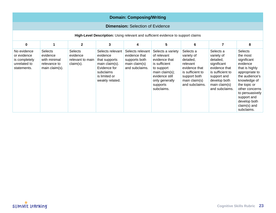|                                                                            | <b>Domain: Composing/Writing</b>                                                 |                                                                |                                                                                                                                  |                                                                                       |                                                                                                                                                                  |                                                                                                                                          |                                                                                                                                                            |                                                                                                                                                                                                                                        |  |  |  |
|----------------------------------------------------------------------------|----------------------------------------------------------------------------------|----------------------------------------------------------------|----------------------------------------------------------------------------------------------------------------------------------|---------------------------------------------------------------------------------------|------------------------------------------------------------------------------------------------------------------------------------------------------------------|------------------------------------------------------------------------------------------------------------------------------------------|------------------------------------------------------------------------------------------------------------------------------------------------------------|----------------------------------------------------------------------------------------------------------------------------------------------------------------------------------------------------------------------------------------|--|--|--|
|                                                                            | <b>Dimension: Selection of Evidence</b>                                          |                                                                |                                                                                                                                  |                                                                                       |                                                                                                                                                                  |                                                                                                                                          |                                                                                                                                                            |                                                                                                                                                                                                                                        |  |  |  |
|                                                                            | High-Level Description: Using relevant and sufficient evidence to support claims |                                                                |                                                                                                                                  |                                                                                       |                                                                                                                                                                  |                                                                                                                                          |                                                                                                                                                            |                                                                                                                                                                                                                                        |  |  |  |
| $\mathbf 0$                                                                | $\overline{2}$<br>3<br>5<br>6<br>$\overline{7}$<br>8<br>$\mathbf{1}$<br>4        |                                                                |                                                                                                                                  |                                                                                       |                                                                                                                                                                  |                                                                                                                                          |                                                                                                                                                            |                                                                                                                                                                                                                                        |  |  |  |
| No evidence<br>or evidence<br>is completely<br>unrelated to<br>statements. | <b>Selects</b><br>evidence<br>with minimal<br>relevance to<br>main claim(s).     | <b>Selects</b><br>evidence<br>relevant to main<br>$claim(s)$ . | Selects relevant<br>evidence<br>that supports<br>main claim(s).<br>Evidence for<br>subclaims<br>is limited or<br>weakly related. | Selects relevant<br>evidence that<br>supports both<br>main claim(s)<br>and subclaims. | Selects a variety<br>of relevant<br>evidence that<br>is sufficient<br>to support<br>main claim(s);<br>evidence still<br>only generally<br>supports<br>subclaims. | Selects a<br>variety of<br>detailed,<br>relevant<br>evidence that<br>is sufficient to<br>support both<br>main claim(s)<br>and subclaims. | Selects a<br>variety of<br>detailed,<br>significant<br>evidence that<br>is sufficient to<br>support and<br>develop both<br>main claim(s)<br>and subclaims. | Selects<br>the most<br>significant<br>evidence<br>that is highly<br>appropriate to<br>the audience's<br>knowledge of<br>the topic or<br>other concerns<br>to persuasively<br>support and<br>develop both<br>claim(s) and<br>subclaims. |  |  |  |

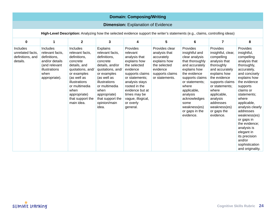|                                                                                                                               | <b>Domain: Composing/Writing</b>                                                                                                |                                                                                                                                                                                                                              |                                                                                                                                                                                                                                     |                                                                                                                                                                                                                                            |                                                                                                                                |                                                                                                                                                                                                                                                                   |                                                                                                                                                                                                                                                                 |                                                                                                                                                                                                                                                                                                                                                                                     |  |  |  |
|-------------------------------------------------------------------------------------------------------------------------------|---------------------------------------------------------------------------------------------------------------------------------|------------------------------------------------------------------------------------------------------------------------------------------------------------------------------------------------------------------------------|-------------------------------------------------------------------------------------------------------------------------------------------------------------------------------------------------------------------------------------|--------------------------------------------------------------------------------------------------------------------------------------------------------------------------------------------------------------------------------------------|--------------------------------------------------------------------------------------------------------------------------------|-------------------------------------------------------------------------------------------------------------------------------------------------------------------------------------------------------------------------------------------------------------------|-----------------------------------------------------------------------------------------------------------------------------------------------------------------------------------------------------------------------------------------------------------------|-------------------------------------------------------------------------------------------------------------------------------------------------------------------------------------------------------------------------------------------------------------------------------------------------------------------------------------------------------------------------------------|--|--|--|
|                                                                                                                               | <b>Dimension: Explanation of Evidence</b>                                                                                       |                                                                                                                                                                                                                              |                                                                                                                                                                                                                                     |                                                                                                                                                                                                                                            |                                                                                                                                |                                                                                                                                                                                                                                                                   |                                                                                                                                                                                                                                                                 |                                                                                                                                                                                                                                                                                                                                                                                     |  |  |  |
| High-Level Description: Analyzing how the selected evidence support the writer's statements (e.g., claims, controlling ideas) |                                                                                                                                 |                                                                                                                                                                                                                              |                                                                                                                                                                                                                                     |                                                                                                                                                                                                                                            |                                                                                                                                |                                                                                                                                                                                                                                                                   |                                                                                                                                                                                                                                                                 |                                                                                                                                                                                                                                                                                                                                                                                     |  |  |  |
| 0                                                                                                                             | 1                                                                                                                               | $\overline{2}$                                                                                                                                                                                                               | 3                                                                                                                                                                                                                                   | 4                                                                                                                                                                                                                                          | 5                                                                                                                              | 6                                                                                                                                                                                                                                                                 | $\overline{7}$                                                                                                                                                                                                                                                  | 8                                                                                                                                                                                                                                                                                                                                                                                   |  |  |  |
| Includes<br>unrelated facts,<br>definitions, and<br>details.                                                                  | <b>Includes</b><br>relevant facts,<br>definitions,<br>and/or details<br>(and relevant<br>illustrations<br>when<br>appropriate). | <b>Includes</b><br>relevant facts,<br>definitions,<br>concrete<br>details, and<br>quotations, and/<br>or examples<br>(as well as<br>illustrations<br>or multimedia<br>when<br>appropriate)<br>that support the<br>main idea. | Explains<br>relevant facts,<br>definitions,<br>concrete<br>details, and/or<br>quotations, and/<br>or examples<br>(as well as<br>illustrations<br>or multimedia<br>when<br>appropriate)<br>that support the<br>opinion/main<br>idea. | Provides<br>relevant<br>analysis that<br>explains how<br>the selected<br>evidence<br>supports claims<br>or statements;<br>analysis stays<br>rooted in the<br>evidence but at<br>times may be<br>vague, illogical,<br>or overly<br>general. | Provides clear<br>analysis that<br>accurately<br>explains how<br>the selected<br>evidence<br>supports claims<br>or statements. | Provides<br>insightful and<br>clear analysis<br>that thoroughly<br>and accurately<br>explains how<br>the evidence<br>supports claims<br>or statements;<br>where<br>applicable,<br>analysis<br>acknowledges<br>some<br>weakness(es)<br>or gaps in the<br>evidence. | Provides<br>insightful, clear,<br>compelling<br>analysis that<br>thoroughly<br>and accurately<br>explains how<br>the evidence<br>supports claims<br>or statements;<br>where<br>applicable,<br>analysis<br>addresses<br>weakness(es)<br>or gaps the<br>evidence. | Provides<br>insightful,<br>compelling<br>analysis that<br>thoroughly,<br>accurately,<br>and concisely<br>explains how<br>the evidence<br>supports<br>claims or<br>statements;<br>where<br>applicable,<br>analysis clearly<br>addresses<br>weakness(es)<br>or gaps in<br>the evidence:<br>analysis is<br>elegant in<br>its precision<br>and/or<br>sophistication<br>and originality. |  |  |  |

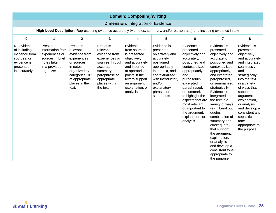| <b>Domain: Composing/Writing</b>                                                                                                |                                                                                                                  |                                                                                                                                                             |                                                                                                                                                                    |                                                                                                                                                                                                 |                                                                                                                                                                                                            |                                                                                                                                                                                                                                                                                                                     |                                                                                                                                                                                                                                                                                                                                                                                                                                                                                   |                                                                                                                                                                                                                                                                                                                             |  |  |
|---------------------------------------------------------------------------------------------------------------------------------|------------------------------------------------------------------------------------------------------------------|-------------------------------------------------------------------------------------------------------------------------------------------------------------|--------------------------------------------------------------------------------------------------------------------------------------------------------------------|-------------------------------------------------------------------------------------------------------------------------------------------------------------------------------------------------|------------------------------------------------------------------------------------------------------------------------------------------------------------------------------------------------------------|---------------------------------------------------------------------------------------------------------------------------------------------------------------------------------------------------------------------------------------------------------------------------------------------------------------------|-----------------------------------------------------------------------------------------------------------------------------------------------------------------------------------------------------------------------------------------------------------------------------------------------------------------------------------------------------------------------------------------------------------------------------------------------------------------------------------|-----------------------------------------------------------------------------------------------------------------------------------------------------------------------------------------------------------------------------------------------------------------------------------------------------------------------------|--|--|
|                                                                                                                                 |                                                                                                                  |                                                                                                                                                             |                                                                                                                                                                    | <b>Dimension: Integration of Evidence</b>                                                                                                                                                       |                                                                                                                                                                                                            |                                                                                                                                                                                                                                                                                                                     |                                                                                                                                                                                                                                                                                                                                                                                                                                                                                   |                                                                                                                                                                                                                                                                                                                             |  |  |
| High-Level Description: Representing evidence accurately (via notes, summary, and/or paraphrase) and including evidence in text |                                                                                                                  |                                                                                                                                                             |                                                                                                                                                                    |                                                                                                                                                                                                 |                                                                                                                                                                                                            |                                                                                                                                                                                                                                                                                                                     |                                                                                                                                                                                                                                                                                                                                                                                                                                                                                   |                                                                                                                                                                                                                                                                                                                             |  |  |
| $\pmb{0}$                                                                                                                       | 1                                                                                                                | $\overline{2}$                                                                                                                                              | 3                                                                                                                                                                  | 4                                                                                                                                                                                               | 5                                                                                                                                                                                                          | 6                                                                                                                                                                                                                                                                                                                   | 7                                                                                                                                                                                                                                                                                                                                                                                                                                                                                 | 8                                                                                                                                                                                                                                                                                                                           |  |  |
| No evidence<br>of including<br>evidence from<br>sources, or<br>evidence is<br>presented<br>inaccurately.                        | Presents<br>information from<br>experiences or<br>sources in brief<br>notes taken<br>in a provided<br>organizer. | Presents<br>relevant<br>evidence from<br>experiences<br>or sources<br>in notes<br>organized by<br>categories OR<br>at appropriate<br>places in the<br>text. | Presents<br>relevant<br>evidence from<br>experiences or<br>sources through<br>accurate<br>summary or<br>paraphrase at<br>appropriate<br>places within<br>the text. | Evidence<br>from sources<br>is presented<br>objectively<br>and accurately<br>and inserted<br>at appropriate<br>points in the<br>text to support<br>an argument,<br>explanation, or<br>analysis. | Evidence is<br>presented<br>objectively and<br>accurately,<br>positioned<br>appropriately<br>in the text, and<br>contextualized<br>with introductory<br>and/or<br>explanatory<br>phrases or<br>statements. | Evidence is<br>presented<br>objectively and<br>accurately,<br>positioned and<br>contextualized<br>appropriately,<br>and<br>purposefully<br>excerpted,<br>paraphrased,<br>or summarized<br>to highlight the<br>aspects that are<br>most relevant<br>or important to<br>the argument,<br>explanation, or<br>analysis. | Evidence is<br>presented<br>objectively and<br>accurately,<br>positioned and<br>contextualized<br>appropriately,<br>and excerpted,<br>paraphrased,<br>or summarized<br>strategically.<br>Evidence is<br>integrated into<br>the text in a<br>variety of ways<br>(e.g., breakout<br>quotes,<br>combination of<br>summary and<br>direct quote)<br>that support<br>the argument,<br>explanation,<br>or analysis<br>and develop a<br>consistent tone<br>appropriate to<br>the purpose. | Evidence is<br>presented<br>objectively<br>and accurately<br>and integrated<br>seamlessly<br>and<br>strategically<br>into the text<br>in a variety<br>of ways that<br>support the<br>argument,<br>explanation,<br>or analysis<br>and develop a<br>consistent and<br>sophisticated<br>tone<br>appropriate to<br>the purpose. |  |  |

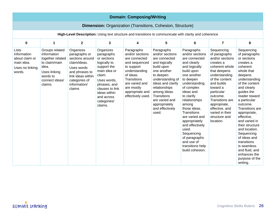|                                                                                                        | <b>Domain: Composing/Writing</b>                                                                                                     |                                                                                                                                                               |                                                                                                                                                                                                           |                                                                                                                                                                                                           |                                                                                                                                                                                                                                                                   |                                                                                                                                                                                                                                                                                                                                                                                                |                                                                                                                                                                                                                                                                                            |                                                                                                                                                                                                                                                                                                                                                                                                                                                    |  |  |  |
|--------------------------------------------------------------------------------------------------------|--------------------------------------------------------------------------------------------------------------------------------------|---------------------------------------------------------------------------------------------------------------------------------------------------------------|-----------------------------------------------------------------------------------------------------------------------------------------------------------------------------------------------------------|-----------------------------------------------------------------------------------------------------------------------------------------------------------------------------------------------------------|-------------------------------------------------------------------------------------------------------------------------------------------------------------------------------------------------------------------------------------------------------------------|------------------------------------------------------------------------------------------------------------------------------------------------------------------------------------------------------------------------------------------------------------------------------------------------------------------------------------------------------------------------------------------------|--------------------------------------------------------------------------------------------------------------------------------------------------------------------------------------------------------------------------------------------------------------------------------------------|----------------------------------------------------------------------------------------------------------------------------------------------------------------------------------------------------------------------------------------------------------------------------------------------------------------------------------------------------------------------------------------------------------------------------------------------------|--|--|--|
|                                                                                                        |                                                                                                                                      |                                                                                                                                                               |                                                                                                                                                                                                           |                                                                                                                                                                                                           | <b>Dimension:</b> Organization (Transitions, Cohesion, Structure)                                                                                                                                                                                                 |                                                                                                                                                                                                                                                                                                                                                                                                |                                                                                                                                                                                                                                                                                            |                                                                                                                                                                                                                                                                                                                                                                                                                                                    |  |  |  |
| High-Level Description: Using text structure and transitions to communicate with clarity and coherence |                                                                                                                                      |                                                                                                                                                               |                                                                                                                                                                                                           |                                                                                                                                                                                                           |                                                                                                                                                                                                                                                                   |                                                                                                                                                                                                                                                                                                                                                                                                |                                                                                                                                                                                                                                                                                            |                                                                                                                                                                                                                                                                                                                                                                                                                                                    |  |  |  |
| $\mathbf 0$                                                                                            | $\mathbf{1}$                                                                                                                         | $\overline{2}$                                                                                                                                                | 3                                                                                                                                                                                                         | 4                                                                                                                                                                                                         | 5                                                                                                                                                                                                                                                                 | $6\phantom{1}$                                                                                                                                                                                                                                                                                                                                                                                 | $\overline{7}$                                                                                                                                                                                                                                                                             | 8                                                                                                                                                                                                                                                                                                                                                                                                                                                  |  |  |  |
| Lists<br>information<br>about claim or<br>main idea.<br>Uses no linking<br>words.                      | Groups related<br>information<br>together related<br>to claim/main<br>idea.<br>Uses linking<br>words to<br>connect ideas/<br>claims. | Organizes<br>paragraphs or<br>sections around<br>claim/ideas.<br>Uses words<br>and phrases to<br>link ideas within<br>categories of<br>information/<br>claims | Organizes<br>paragraphs<br>or sections<br>logically to<br>support the<br>main idea or<br>claim.<br>Uses words,<br>phrases, and<br>clauses to link<br>ideas within<br>and across<br>categories/<br>claims. | Paragraphs<br>and/or sections<br>are connected<br>and sequenced<br>to support<br>understanding<br>of ideas.<br><b>Transitions</b><br>are varied and<br>are mostly<br>appropriate and<br>effectively used. | Paragraphs<br>and/or sections<br>are connected<br>and logically<br>build upon<br>one another<br>to deepen<br>understanding of<br>ideas and clarify<br>relationships<br>among ideas.<br>Transitions<br>are varied and<br>appropriately<br>and effectively<br>used. | Paragraphs<br>and/or sections<br>are connected<br>and clearly<br>and logically<br>build upon<br>one another<br>to deepen<br>understanding<br>of complex<br>ideas and<br>to clarify<br>relationships<br>among<br>those ideas.<br>Transitions<br>are varied and<br>appropriately<br>and effectively<br>used.<br>Sequencing<br>of paragraphs<br>and use of<br>transitions help<br>build cohesion. | Sequencing<br>of paragraphs<br>and/or sections<br>creates a<br>coherent whole<br>that deepens<br>understanding<br>of the content<br>and builds<br>toward a<br>particular<br>outcome.<br>Transitions are<br>appropriate,<br>effective, and<br>varied in their<br>structure and<br>location. | Sequencing<br>of paragraphs<br>or sections<br>creates a<br>coherent<br>whole that<br>deepens<br>understanding<br>of the content<br>and clearly<br>quides the<br>reader toward<br>a particular<br>outcome.<br><b>Transitions</b> are<br>appropriate,<br>effective,<br>and varied in<br>their structure<br>and location.<br>Sequencing<br>of ideas and<br>transitions<br>is seamless<br>and fluid, and<br>enhances the<br>purpose of the<br>writing. |  |  |  |

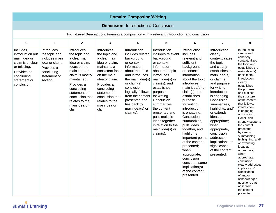|                                                                                                                                             |                                                                                                                        |                                                                                                                                                                                                                                            |                                                                                                                                                                                                                                              | <b>Domain: Composing/Writing</b>                                                                                                                                                                                                                                             |                                                                                                                                                                                                                                                                                                                                                    |                                                                                                                                                                                                                                                                                                                                                                                                                                                                                            |                                                                                                                                                                                                                                                                                                                                                                                                          |                                                                                                                                                                                                                                                                                                                                                                                                                                                                                                                                                                                                                                                                    |
|---------------------------------------------------------------------------------------------------------------------------------------------|------------------------------------------------------------------------------------------------------------------------|--------------------------------------------------------------------------------------------------------------------------------------------------------------------------------------------------------------------------------------------|----------------------------------------------------------------------------------------------------------------------------------------------------------------------------------------------------------------------------------------------|------------------------------------------------------------------------------------------------------------------------------------------------------------------------------------------------------------------------------------------------------------------------------|----------------------------------------------------------------------------------------------------------------------------------------------------------------------------------------------------------------------------------------------------------------------------------------------------------------------------------------------------|--------------------------------------------------------------------------------------------------------------------------------------------------------------------------------------------------------------------------------------------------------------------------------------------------------------------------------------------------------------------------------------------------------------------------------------------------------------------------------------------|----------------------------------------------------------------------------------------------------------------------------------------------------------------------------------------------------------------------------------------------------------------------------------------------------------------------------------------------------------------------------------------------------------|--------------------------------------------------------------------------------------------------------------------------------------------------------------------------------------------------------------------------------------------------------------------------------------------------------------------------------------------------------------------------------------------------------------------------------------------------------------------------------------------------------------------------------------------------------------------------------------------------------------------------------------------------------------------|
|                                                                                                                                             |                                                                                                                        |                                                                                                                                                                                                                                            |                                                                                                                                                                                                                                              | <b>Dimension: Introduction &amp; Conclusion</b>                                                                                                                                                                                                                              |                                                                                                                                                                                                                                                                                                                                                    |                                                                                                                                                                                                                                                                                                                                                                                                                                                                                            |                                                                                                                                                                                                                                                                                                                                                                                                          |                                                                                                                                                                                                                                                                                                                                                                                                                                                                                                                                                                                                                                                                    |
|                                                                                                                                             |                                                                                                                        |                                                                                                                                                                                                                                            |                                                                                                                                                                                                                                              |                                                                                                                                                                                                                                                                              | High-Level Description: Framing a composition with a relevant introduction and conclusion                                                                                                                                                                                                                                                          |                                                                                                                                                                                                                                                                                                                                                                                                                                                                                            |                                                                                                                                                                                                                                                                                                                                                                                                          |                                                                                                                                                                                                                                                                                                                                                                                                                                                                                                                                                                                                                                                                    |
| $\pmb{0}$                                                                                                                                   | $\mathbf{1}$                                                                                                           | $\mathbf{2}$                                                                                                                                                                                                                               | 3                                                                                                                                                                                                                                            | 4                                                                                                                                                                                                                                                                            | 5                                                                                                                                                                                                                                                                                                                                                  | 6                                                                                                                                                                                                                                                                                                                                                                                                                                                                                          | $\overline{7}$                                                                                                                                                                                                                                                                                                                                                                                           | 8                                                                                                                                                                                                                                                                                                                                                                                                                                                                                                                                                                                                                                                                  |
| Includes<br>introduction but<br>main idea or<br>claim is unclear<br>or missing.<br>Provides no<br>concluding<br>statement or<br>conclusion. | Introduces<br>the topic and<br>includes main<br>idea or claim.<br>Provides a<br>concluding<br>statement or<br>section. | Introduces<br>the topic and<br>a clear main<br>idea or claim;<br>focus on the<br>main idea or<br>claim is mostly<br>maintained.<br>Provides a<br>concluding<br>statement or<br>conclusion that<br>relates to the<br>main idea or<br>claim. | Introduces<br>the topic and<br>a clear main<br>idea or claim;<br>maintains a<br>consistent focus<br>on the main<br>idea or claim.<br>Provides a<br>concluding<br>statement or<br>conclusion that<br>relates to the<br>main idea or<br>claim. | Introduction<br>includes related<br>background<br>or context<br>information<br>about the topic<br>and introduces<br>the main idea(s)<br>or claim(s);<br>conclusion<br>logically follows<br>from the content<br>presented and<br>ties back to<br>main idea(s) or<br>claim(s). | Introduction<br>includes relevant<br>background<br>or context<br>information<br>about the topic,<br>introduces<br>main idea(s) or<br>claim(s), and<br>establishes<br>purpose<br>for writing.<br>Conclusion<br>summarizes<br>the content<br>presented and<br>pulls multiple<br>ideas together<br>in relation to the<br>main idea(s) or<br>claim(s). | Introduction<br>includes<br>relevant and<br>sufficient<br>background<br>or context<br>information<br>about the topic,<br>introduces<br>main idea(s) or<br>claim(s), and<br>establishes<br>purpose<br>for writing;<br>introduction<br>is engaging.<br>Conclusion<br>summarizes,<br>pulls ideas<br>together, and<br>highlights<br>important points<br>of the content<br>presented;<br>when<br>appropriate,<br>conclusion<br>considers some<br>implication(s)<br>of the content<br>presented. | Introduction<br>clearly<br>contextualizes<br>the topic,<br>and clearly<br>establishes the<br>main idea(s)<br>or claim(s)<br>and purpose<br>for writing;<br>introduction<br>is engaging.<br>Conclusion<br>summarizes,<br>highlights, and/<br>or extends<br>ideas as<br>appropriate;<br>when<br>appropriate,<br>conclusion<br>addresses<br>implications or<br>significance<br>of the content<br>presented. | Introduction<br>clearly and<br>concisely<br>contextualizes<br>the topic and<br>establishes the<br>main ideas(s)<br>or claims(s);<br>introduction<br>clearly<br>establishes<br>the purpose<br>and outlines<br>the structure<br>of the content<br>that follows;<br>introduction<br>is engaging<br>and inviting.<br>Conclusion<br>strongly supports<br>the content<br>presented<br>by clearly<br>summarizing,<br>highlighting, and/<br>or extending<br>ideas as<br>appropriate;<br>when<br>appropriate,<br>conclusion<br>clearly addresses<br>implications/<br>significance<br>of and/or<br>acknowledges<br>questions that<br>arise from<br>the content<br>presented. |

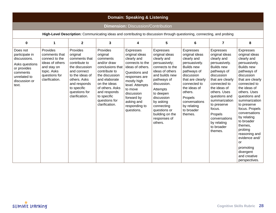|                                                                                                                                   | <b>Domain: Speaking &amp; Listening</b>                                                                                         |                                                                                                                                                                                              |                                                                                                                                                                                                                              |                                                                                                                                                                                                                                           |                                                                                                                                                                                                                                                                                          |                                                                                                                                                                                                                                                  |                                                                                                                                                                                                                                                                                                                  |                                                                                                                                                                                                                                                                                                                                                                                                                             |  |  |  |
|-----------------------------------------------------------------------------------------------------------------------------------|---------------------------------------------------------------------------------------------------------------------------------|----------------------------------------------------------------------------------------------------------------------------------------------------------------------------------------------|------------------------------------------------------------------------------------------------------------------------------------------------------------------------------------------------------------------------------|-------------------------------------------------------------------------------------------------------------------------------------------------------------------------------------------------------------------------------------------|------------------------------------------------------------------------------------------------------------------------------------------------------------------------------------------------------------------------------------------------------------------------------------------|--------------------------------------------------------------------------------------------------------------------------------------------------------------------------------------------------------------------------------------------------|------------------------------------------------------------------------------------------------------------------------------------------------------------------------------------------------------------------------------------------------------------------------------------------------------------------|-----------------------------------------------------------------------------------------------------------------------------------------------------------------------------------------------------------------------------------------------------------------------------------------------------------------------------------------------------------------------------------------------------------------------------|--|--|--|
|                                                                                                                                   |                                                                                                                                 |                                                                                                                                                                                              |                                                                                                                                                                                                                              | <b>Dimension: Discussion/Contribution</b>                                                                                                                                                                                                 |                                                                                                                                                                                                                                                                                          |                                                                                                                                                                                                                                                  |                                                                                                                                                                                                                                                                                                                  |                                                                                                                                                                                                                                                                                                                                                                                                                             |  |  |  |
| High-Level Description: Communicating ideas and contributing to discussion through questioning, connecting, and probing           |                                                                                                                                 |                                                                                                                                                                                              |                                                                                                                                                                                                                              |                                                                                                                                                                                                                                           |                                                                                                                                                                                                                                                                                          |                                                                                                                                                                                                                                                  |                                                                                                                                                                                                                                                                                                                  |                                                                                                                                                                                                                                                                                                                                                                                                                             |  |  |  |
| $\mathbf 0$                                                                                                                       | $\mathbf{1}$                                                                                                                    | $\overline{2}$                                                                                                                                                                               | 3                                                                                                                                                                                                                            | 4                                                                                                                                                                                                                                         | 5                                                                                                                                                                                                                                                                                        | 6                                                                                                                                                                                                                                                | $\overline{7}$                                                                                                                                                                                                                                                                                                   | 8                                                                                                                                                                                                                                                                                                                                                                                                                           |  |  |  |
| Does not<br>participate in<br>discussions.<br>Asks questions<br>or provides<br>comments<br>unrelated to<br>discussion or<br>text. | Provides<br>comments that<br>connect to the<br>ideas of others<br>and stay on<br>topic. Asks<br>questions for<br>clarification. | Provides<br>original<br>comments that<br>contribute to<br>the discussion<br>and connect<br>to the ideas of<br>others. Asks<br>and responds<br>to specific<br>questions for<br>clarification. | Provides<br>original<br>comments<br>and/or draw<br>conclusions that<br>contribute to<br>the discussion<br>and elaborate<br>on the ideas<br>of others. Asks<br>and responds<br>to specific<br>questions for<br>clarification. | Expresses<br>original ideas<br>clearly and<br>connects to the<br>ideas of others.<br>Questions and<br>responses are<br>mostly high<br>level. Attempts<br>to move<br>discussion<br>forward by<br>asking and<br>responding to<br>questions. | <b>Expresses</b><br>original ideas<br>clearly and<br>persuasively;<br>connects to the<br>ideas of others<br>and builds new<br>pathways of<br>discussion.<br>Attempts<br>to deepen<br>discussion<br>by asking<br>connecting<br>questions or<br>building on the<br>responses of<br>others. | Expresses<br>original ideas<br>clearly and<br>persuasively.<br><b>Builds new</b><br>pathways of<br>discussion<br>that are clearly<br>connected to<br>the ideas of<br>others.<br>Propels<br>conversations<br>by relating<br>to broader<br>themes. | Expresses<br>original ideas<br>clearly and<br>persuasively.<br><b>Builds new</b><br>pathways of<br>discussion<br>that are clearly<br>connected to<br>the ideas of<br>others. Uses<br>questions and<br>summarization<br>to preserve<br>focus.<br>Propels<br>conversations<br>by relating<br>to broader<br>themes. | Expresses<br>original ideas<br>clearly and<br>persuasively.<br><b>Builds new</b><br>pathways of<br>discussion<br>that are clearly<br>connected to<br>the ideas of<br>others. Uses<br>questions and<br>summarization<br>to preserve<br>focus. Propels<br>conversations<br>by relating<br>to broader<br>themes,<br>probing<br>reasoning and<br>evidence and/<br>or<br>promoting<br>divergent<br>and creative<br>perspectives. |  |  |  |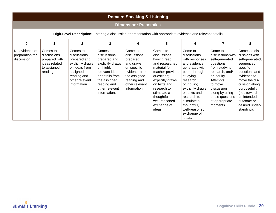| <b>Domain: Speaking &amp; Listening</b>                                                                      |                                                                                      |                                                                                                                                           |                                                                                                                                                                                |                                                                                                                                                   |                                                                                                                                                                                                                                       |                                                                                                                                                                                                                                                                 |                                                                                                                                                                                                                       |                                                                                                                                                                                                                                             |  |  |  |  |
|--------------------------------------------------------------------------------------------------------------|--------------------------------------------------------------------------------------|-------------------------------------------------------------------------------------------------------------------------------------------|--------------------------------------------------------------------------------------------------------------------------------------------------------------------------------|---------------------------------------------------------------------------------------------------------------------------------------------------|---------------------------------------------------------------------------------------------------------------------------------------------------------------------------------------------------------------------------------------|-----------------------------------------------------------------------------------------------------------------------------------------------------------------------------------------------------------------------------------------------------------------|-----------------------------------------------------------------------------------------------------------------------------------------------------------------------------------------------------------------------|---------------------------------------------------------------------------------------------------------------------------------------------------------------------------------------------------------------------------------------------|--|--|--|--|
| <b>Dimension: Preparation</b>                                                                                |                                                                                      |                                                                                                                                           |                                                                                                                                                                                |                                                                                                                                                   |                                                                                                                                                                                                                                       |                                                                                                                                                                                                                                                                 |                                                                                                                                                                                                                       |                                                                                                                                                                                                                                             |  |  |  |  |
| High-Level Description: Entering a discussion or presentation with appropriate evidence and relevant details |                                                                                      |                                                                                                                                           |                                                                                                                                                                                |                                                                                                                                                   |                                                                                                                                                                                                                                       |                                                                                                                                                                                                                                                                 |                                                                                                                                                                                                                       |                                                                                                                                                                                                                                             |  |  |  |  |
| 0                                                                                                            | $\mathbf{1}$                                                                         | $\mathbf{2}$                                                                                                                              | 3                                                                                                                                                                              | 4                                                                                                                                                 | 5                                                                                                                                                                                                                                     | 6                                                                                                                                                                                                                                                               | $\overline{7}$                                                                                                                                                                                                        | 8                                                                                                                                                                                                                                           |  |  |  |  |
| No evidence of<br>preparation for<br>discussion.                                                             | Comes to<br>discussions<br>prepared with<br>ideas related<br>to assigned<br>reading. | Comes to<br>discussions<br>prepared and<br>explicitly draws<br>on ideas from<br>assigned<br>reading and<br>other relevant<br>information. | Comes to<br>discussions<br>prepared and<br>explicitly draws<br>on highly<br>relevant ideas<br>or details from<br>the assigned<br>reading and<br>other relevant<br>information. | Comes to<br>discussions<br>prepared<br>and draws<br>on specific<br>evidence from<br>the assigned<br>reading and<br>other relevant<br>information. | Comes to<br>discussions<br>having read<br>and researched<br>material for<br>teacher-provided<br>questions;<br>explicitly draws<br>on texts and<br>research to<br>stimulate a<br>thoughtful,<br>well-reasoned<br>exchange of<br>ideas. | Come to<br>discussions<br>with responses<br>and evidence<br>generated with<br>peers through<br>studying,<br>research,<br>or inquiry;<br>explicitly draws<br>on texts and<br>research to<br>stimulate a<br>thoughtful,<br>well-reasoned<br>exchange of<br>ideas. | Come to<br>discussions with<br>self-generated<br>questions<br>from studying,<br>research, and/<br>or inquiry.<br>Attempts<br>to move<br>discussion<br>along by using<br>those questions<br>at appropriate<br>moments. | Comes to dis-<br>cussions with<br>self-generated,<br>sequenced,<br>specific<br>questions and<br>evidence to<br>move the dis-<br>cussion along<br>purposefully<br>(i.e., toward<br>an intended<br>outcome or<br>desired under-<br>standing). |  |  |  |  |

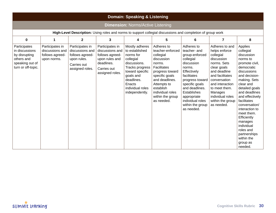|                                                                                                             | <b>Domain: Speaking &amp; Listening</b>                              |                                                                                                        |                                                                                                                         |                                                                                                                                                                                             |                                                                                                                                                                                                                             |                                                                                                                                                                                                                                                            |                                                                                                                                                                                                                                                  |                                                                                                                                                                                                                                                                                                                                                                             |  |  |  |  |  |
|-------------------------------------------------------------------------------------------------------------|----------------------------------------------------------------------|--------------------------------------------------------------------------------------------------------|-------------------------------------------------------------------------------------------------------------------------|---------------------------------------------------------------------------------------------------------------------------------------------------------------------------------------------|-----------------------------------------------------------------------------------------------------------------------------------------------------------------------------------------------------------------------------|------------------------------------------------------------------------------------------------------------------------------------------------------------------------------------------------------------------------------------------------------------|--------------------------------------------------------------------------------------------------------------------------------------------------------------------------------------------------------------------------------------------------|-----------------------------------------------------------------------------------------------------------------------------------------------------------------------------------------------------------------------------------------------------------------------------------------------------------------------------------------------------------------------------|--|--|--|--|--|
| <b>Dimension: Norms/Active Listening</b>                                                                    |                                                                      |                                                                                                        |                                                                                                                         |                                                                                                                                                                                             |                                                                                                                                                                                                                             |                                                                                                                                                                                                                                                            |                                                                                                                                                                                                                                                  |                                                                                                                                                                                                                                                                                                                                                                             |  |  |  |  |  |
| High-Level Description: Using roles and norms to support collegial discussions and completion of group work |                                                                      |                                                                                                        |                                                                                                                         |                                                                                                                                                                                             |                                                                                                                                                                                                                             |                                                                                                                                                                                                                                                            |                                                                                                                                                                                                                                                  |                                                                                                                                                                                                                                                                                                                                                                             |  |  |  |  |  |
| 0                                                                                                           | $\mathbf{1}$                                                         | $\overline{2}$                                                                                         | 3                                                                                                                       | 4                                                                                                                                                                                           | 5                                                                                                                                                                                                                           | 6                                                                                                                                                                                                                                                          | 7                                                                                                                                                                                                                                                | 8                                                                                                                                                                                                                                                                                                                                                                           |  |  |  |  |  |
| Participates<br>in discussions<br>by disrupting<br>others and<br>speaking out of<br>turn or off-topic.      | Participates in<br>discussions and<br>follows agreed-<br>upon norms. | Participates in<br>discussions and<br>follows agreed-<br>upon rules.<br>Carries out<br>assigned roles. | Participates in<br>discussions and<br>follows agreed-<br>upon rules and<br>deadlines.<br>Carries out<br>assigned roles. | Mostly adheres<br>to established<br>norms for<br>collegial<br>discussions.<br>Tracks progress<br>toward specific<br>goals and<br>deadlines.<br>Enacts<br>individual roles<br>independently. | Adheres to<br>teacher-enforced<br>collegial<br>discussion<br>norms.<br>Facilitates<br>progress toward<br>specific goals<br>and deadlines.<br>Attempts to<br>establish<br>individual roles<br>within the group<br>as needed. | Adheres to<br>teacher- and<br>group-enforced<br>collegial<br>discussion<br>norms.<br>Effectively<br>facilitates<br>progress toward<br>specific goals<br>and deadlines.<br>Establishes<br>appropriate<br>individual roles<br>within the group<br>as needed. | Adheres to and<br>helps enforce<br>collegial<br>discussion<br>norms. Sets<br>clear goals<br>and deadline<br>and facilitates<br>conversation<br>and interaction<br>to meet them.<br>Manages<br>individual roles<br>within the group<br>as needed. | Applies<br>collegial<br>discussion<br>norms to<br>promote civil,<br>democratic<br>discussions<br>and decision-<br>making. Sets<br>clear and<br>detailed goals<br>and deadlines<br>and effectively<br>facilitates<br>conversation/<br>interaction to<br>meet them.<br>Efficiently<br>manages<br>individual<br>roles and<br>partnerships<br>within the<br>group as<br>needed. |  |  |  |  |  |

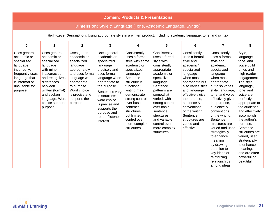| <b>Domain: Products &amp; Presentations</b>                                                                                                                |                                                                                                                                                                                                                            |                                                                                                                                                                                                         |                                                                                                                                                                                                                                                                              |                                                                                                                                                                                                                                                                                              |                                                                                                                                                                                                                                                                                                        |                                                                                                                                                                                                                                                                                                        |                                                                                                                                                                                                                                                                                                                                                                                                                                                        |                                                                                                                                                                                                                                                                                                                                                                                                     |  |  |  |  |
|------------------------------------------------------------------------------------------------------------------------------------------------------------|----------------------------------------------------------------------------------------------------------------------------------------------------------------------------------------------------------------------------|---------------------------------------------------------------------------------------------------------------------------------------------------------------------------------------------------------|------------------------------------------------------------------------------------------------------------------------------------------------------------------------------------------------------------------------------------------------------------------------------|----------------------------------------------------------------------------------------------------------------------------------------------------------------------------------------------------------------------------------------------------------------------------------------------|--------------------------------------------------------------------------------------------------------------------------------------------------------------------------------------------------------------------------------------------------------------------------------------------------------|--------------------------------------------------------------------------------------------------------------------------------------------------------------------------------------------------------------------------------------------------------------------------------------------------------|--------------------------------------------------------------------------------------------------------------------------------------------------------------------------------------------------------------------------------------------------------------------------------------------------------------------------------------------------------------------------------------------------------------------------------------------------------|-----------------------------------------------------------------------------------------------------------------------------------------------------------------------------------------------------------------------------------------------------------------------------------------------------------------------------------------------------------------------------------------------------|--|--|--|--|
| <b>Dimension:</b> Style & Language (Tone, Academic Language, Syntax)                                                                                       |                                                                                                                                                                                                                            |                                                                                                                                                                                                         |                                                                                                                                                                                                                                                                              |                                                                                                                                                                                                                                                                                              |                                                                                                                                                                                                                                                                                                        |                                                                                                                                                                                                                                                                                                        |                                                                                                                                                                                                                                                                                                                                                                                                                                                        |                                                                                                                                                                                                                                                                                                                                                                                                     |  |  |  |  |
| High-Level Description: Using appropriate style in a written product, including academic language, tone, and syntax                                        |                                                                                                                                                                                                                            |                                                                                                                                                                                                         |                                                                                                                                                                                                                                                                              |                                                                                                                                                                                                                                                                                              |                                                                                                                                                                                                                                                                                                        |                                                                                                                                                                                                                                                                                                        |                                                                                                                                                                                                                                                                                                                                                                                                                                                        |                                                                                                                                                                                                                                                                                                                                                                                                     |  |  |  |  |
| $\mathbf 0$                                                                                                                                                | $\mathbf{1}$                                                                                                                                                                                                               | $\mathbf{2}$                                                                                                                                                                                            | 3                                                                                                                                                                                                                                                                            | 4                                                                                                                                                                                                                                                                                            | 5                                                                                                                                                                                                                                                                                                      | 6                                                                                                                                                                                                                                                                                                      | $\overline{7}$                                                                                                                                                                                                                                                                                                                                                                                                                                         | 8                                                                                                                                                                                                                                                                                                                                                                                                   |  |  |  |  |
| Uses general<br>academic or<br>specialized<br>language<br>incorrectly;<br>frequently uses<br>language that<br>is informal or<br>unsuitable for<br>purpose. | Uses general<br>academic or<br>specialized<br>language<br>with minor<br><i>inaccuracies</i><br>and recognizes<br>differences<br>between<br>written (formal)<br>and spoken<br>language. Word<br>choice supports<br>purpose. | Uses general<br>academic or<br>specialized<br>language<br>appropriately,<br>and uses formal<br>language when<br>appropriate<br>to purpose.<br>Word choice<br>is precise and<br>supports the<br>purpose. | Uses general<br>academic or<br>specialized<br>language<br>precisely and<br>uses formal<br>language when<br>appropriate to<br>the purpose.<br>Sentences vary<br>in structure:<br>word choice<br>is precise and<br>supports the<br>purpose and<br>reader/listener<br>interest. | Consistently<br>uses a formal<br>style with some<br>academic or<br>specialized<br>language.<br>Sentence<br>structure is<br>functional;<br>writing may<br>demonstrate<br>strong control<br>over basic<br>sentence<br>structures<br>but limited<br>control over<br>more complex<br>structures. | Consistently<br>uses a formal<br>style with<br>consistently<br>appropriate<br>academic or<br>specialized<br>language.<br>Sentence<br>patterns are<br>somewhat<br>varied, with<br>strong control<br>over basic<br>sentence<br>structures<br>and variable<br>control over<br>more complex<br>structures. | Consistently<br>uses a formal<br>style and<br>academic/<br>specialized<br>language<br>when most<br>appropriate but<br>also varies style<br>and language<br>effectively given<br>the purpose,<br>audience &<br>conventions<br>of the writing.<br>Sentence<br>structures are<br>varied and<br>effective. | Consistently<br>uses a formal<br>style and<br>academic/<br>specialized<br>language<br>when most<br>appropriate<br>but also varies<br>style, language,<br>tone, and voice<br>effectively given<br>the purpose,<br>audience &<br>conventions<br>of the writing.<br>Sentence<br>structures are<br>varied and used<br>strategically<br>to enhance<br>meaning<br>by drawing<br>attention to<br>key ideas or<br>reinforcing<br>relationships<br>among ideas. | Style,<br>language,<br>tone, and<br>voice build<br>ethos and<br>high reader<br>engagement.<br>The style,<br>language,<br>tone, and<br>voice are<br>perfectly<br>appropriate to<br>the audience,<br>and effectively<br>accomplish<br>the author's<br>purpose.<br>Sentence<br>structures are<br>varied, used<br>strategically<br>to enhance<br>meaning,<br>and are often<br>powerful or<br>beautiful. |  |  |  |  |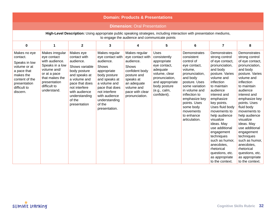| <b>Domain: Products &amp; Presentations</b>                                                                                                                             |                                                                                                                                                                     |                                                                                                                                                                                                          |                                                                                                                                                                                                                         |                                                                                                                                                                         |                                                                                                                                                                             |                                                                                                                                                                                                                                                                  |                                                                                                                                                                                                                                                                                                                                                                                                                                          |                                                                                                                                                                                                                                                                                                                                                                                                                                          |  |  |  |  |  |
|-------------------------------------------------------------------------------------------------------------------------------------------------------------------------|---------------------------------------------------------------------------------------------------------------------------------------------------------------------|----------------------------------------------------------------------------------------------------------------------------------------------------------------------------------------------------------|-------------------------------------------------------------------------------------------------------------------------------------------------------------------------------------------------------------------------|-------------------------------------------------------------------------------------------------------------------------------------------------------------------------|-----------------------------------------------------------------------------------------------------------------------------------------------------------------------------|------------------------------------------------------------------------------------------------------------------------------------------------------------------------------------------------------------------------------------------------------------------|------------------------------------------------------------------------------------------------------------------------------------------------------------------------------------------------------------------------------------------------------------------------------------------------------------------------------------------------------------------------------------------------------------------------------------------|------------------------------------------------------------------------------------------------------------------------------------------------------------------------------------------------------------------------------------------------------------------------------------------------------------------------------------------------------------------------------------------------------------------------------------------|--|--|--|--|--|
| <b>Dimension: Oral Presentation</b>                                                                                                                                     |                                                                                                                                                                     |                                                                                                                                                                                                          |                                                                                                                                                                                                                         |                                                                                                                                                                         |                                                                                                                                                                             |                                                                                                                                                                                                                                                                  |                                                                                                                                                                                                                                                                                                                                                                                                                                          |                                                                                                                                                                                                                                                                                                                                                                                                                                          |  |  |  |  |  |
| High-Level Description: Using appropriate public speaking strategies, including interaction with presentation mediums,<br>to engage the audience and communicate points |                                                                                                                                                                     |                                                                                                                                                                                                          |                                                                                                                                                                                                                         |                                                                                                                                                                         |                                                                                                                                                                             |                                                                                                                                                                                                                                                                  |                                                                                                                                                                                                                                                                                                                                                                                                                                          |                                                                                                                                                                                                                                                                                                                                                                                                                                          |  |  |  |  |  |
| 0                                                                                                                                                                       | $\mathbf{1}$                                                                                                                                                        | $\overline{2}$                                                                                                                                                                                           | 3                                                                                                                                                                                                                       | 4                                                                                                                                                                       | 5                                                                                                                                                                           | 6                                                                                                                                                                                                                                                                | $\overline{7}$                                                                                                                                                                                                                                                                                                                                                                                                                           | 8                                                                                                                                                                                                                                                                                                                                                                                                                                        |  |  |  |  |  |
| Makes no eye<br>contact.<br>Speaks in low<br>volume or at<br>a pace that<br>makes the<br>content of the<br>presentation<br>difficult to<br>discern.                     | Makes irregular<br>eye contact<br>with audience.<br>Speaks in a low<br>volume and/<br>or at a pace<br>that makes the<br>presentation<br>difficult to<br>understand. | Makes eye<br>contact with<br>audience.<br>Shows variable<br>body posture<br>and speaks at<br>a volume and<br>pace that does<br>not interfere<br>with audience<br>understanding<br>of the<br>presentation | Makes regular<br>eye contact with<br>audience.<br>Shows<br>appropriate<br>body posture<br>and speaks at<br>a volume and<br>pace that does<br>not interfere<br>with audience<br>understanding<br>of the<br>presentation. | Makes regular<br>eye contact with<br>audience.<br>Shows<br>confident body<br>posture and<br>speaks at<br>an adequate<br>volume and<br>pace with clear<br>pronunciation. | <b>Uses</b><br>consistently<br>appropriate<br>eye contact,<br>adequate<br>volume, clear<br>pronunciation,<br>and appropriate<br>body posture<br>(e.g., calm,<br>confident). | Demonstrates<br>consistent<br>control of<br>eye contact,<br>volume,<br>pronunciation,<br>and body<br>posture. Uses<br>some variation<br>in volume and<br>inflection to<br>emphasize key<br>points. Uses<br>some body<br>movements<br>to enhance<br>articulation. | Demonstrates<br>strong control<br>of eye contact,<br>pronunciation,<br>and body<br>posture. Varies<br>volume and<br>inflection<br>to maintain<br>audience<br>interest and<br>emphasize<br>key points.<br>Uses fluid body<br>movements to<br>help audience<br>visualize<br>ideas. May<br>use additional<br>engagement<br>techniques<br>such as humor,<br>anecdotes,<br>rhetorical<br>questions, etc.<br>as appropriate<br>to the context. | Demonstrates<br>strong control<br>of eye contact,<br>pronunciation,<br>and body<br>posture. Varies<br>volume and<br>inflection<br>to maintain<br>audience<br>interest and<br>emphasize key<br>points. Uses<br>fluid body<br>movements to<br>help audience<br>visualize<br>ideas. May<br>use additional<br>engagement<br>techniques<br>such as humor,<br>anecdotes,<br>rhetorical<br>questions, etc.<br>as appropriate<br>to the context. |  |  |  |  |  |

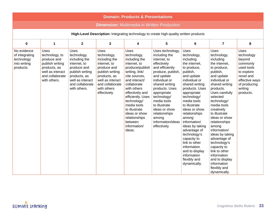| <b>Domain: Products &amp; Presentations</b>                                            |                                                                                                                                        |                                                                                                                                                                      |                                                                                                                                                                              |                                                                                                                                                                                                                                                                                                                         |                                                                                                                                                                                                                                                                                                                           |                                                                                                                                                                                                                                                                                                                                                                                                                                             |                                                                                                                                                                                                                                                                                                                                                                                                                                                                            |                                                                                                                                                    |  |  |  |
|----------------------------------------------------------------------------------------|----------------------------------------------------------------------------------------------------------------------------------------|----------------------------------------------------------------------------------------------------------------------------------------------------------------------|------------------------------------------------------------------------------------------------------------------------------------------------------------------------------|-------------------------------------------------------------------------------------------------------------------------------------------------------------------------------------------------------------------------------------------------------------------------------------------------------------------------|---------------------------------------------------------------------------------------------------------------------------------------------------------------------------------------------------------------------------------------------------------------------------------------------------------------------------|---------------------------------------------------------------------------------------------------------------------------------------------------------------------------------------------------------------------------------------------------------------------------------------------------------------------------------------------------------------------------------------------------------------------------------------------|----------------------------------------------------------------------------------------------------------------------------------------------------------------------------------------------------------------------------------------------------------------------------------------------------------------------------------------------------------------------------------------------------------------------------------------------------------------------------|----------------------------------------------------------------------------------------------------------------------------------------------------|--|--|--|
| <b>Dimension:</b> Multimedia in Written Production                                     |                                                                                                                                        |                                                                                                                                                                      |                                                                                                                                                                              |                                                                                                                                                                                                                                                                                                                         |                                                                                                                                                                                                                                                                                                                           |                                                                                                                                                                                                                                                                                                                                                                                                                                             |                                                                                                                                                                                                                                                                                                                                                                                                                                                                            |                                                                                                                                                    |  |  |  |
| High-Level Description: Integrating technology to create high-quality written products |                                                                                                                                        |                                                                                                                                                                      |                                                                                                                                                                              |                                                                                                                                                                                                                                                                                                                         |                                                                                                                                                                                                                                                                                                                           |                                                                                                                                                                                                                                                                                                                                                                                                                                             |                                                                                                                                                                                                                                                                                                                                                                                                                                                                            |                                                                                                                                                    |  |  |  |
| $\mathbf 0$                                                                            | $\mathbf{1}$                                                                                                                           | $\overline{2}$                                                                                                                                                       | $\mathbf{3}$                                                                                                                                                                 | 4                                                                                                                                                                                                                                                                                                                       | 5                                                                                                                                                                                                                                                                                                                         | 6                                                                                                                                                                                                                                                                                                                                                                                                                                           | $\overline{7}$                                                                                                                                                                                                                                                                                                                                                                                                                                                             | 8                                                                                                                                                  |  |  |  |
| No evidence<br>of integrating<br>technology<br>into writing<br>products.               | <b>Uses</b><br>technology, to<br>produce and<br>publish writing<br>products, as<br>well as interact<br>and collaborate<br>with others. | <b>Uses</b><br>technology,<br>including the<br>internet, to<br>produce and<br>publish writing<br>products, as<br>well as interact<br>and collaborate<br>with others. | Uses<br>technology,<br>including the<br>internet, to<br>produce and<br>publish writing<br>products, as<br>well as interact<br>and collaborate<br>with others<br>effectively. | Uses<br>technology,<br>including the<br>internet, to<br>produce/publish<br>writing, link/<br>cite sources,<br>and interact/<br>collaborate<br>with others<br>effectively and<br>efficiently. Uses<br>technology/<br>media tools<br>to illustrate<br>ideas or show<br>relationships<br>between<br>information/<br>ideas. | Uses technology,<br>including the<br>internet, to<br>effectively<br>and efficiently<br>produce, publish,<br>and update<br>individual or<br>shared writing<br>products. Uses<br>appropriate<br>technology/<br>media tools<br>to illustrate<br>ideas or show<br>relationships<br>among<br>information/ideas<br>effectively. | Uses<br>technology,<br>including<br>the internet,<br>to produce,<br>publish,<br>and update<br>individual or<br>shared writing<br>products. Uses<br>appropriate<br>technology/<br>media tools<br>to illustrate<br>ideas or show<br>relationships<br>among<br>information/<br>ideas by taking<br>advantage of<br>technology's<br>capacity to<br>link to other<br>information<br>and to display<br>information<br>flexibly and<br>dynamically. | <b>Uses</b><br>technology,<br>including<br>the internet,<br>to produce,<br>publish,<br>and update<br>individual or<br>shared writing<br>products.<br>Uses carefully<br>selected<br>technology/<br>media tools<br>creatively<br>to illustrate<br>ideas or show<br>relationships<br>among<br>information/<br>ideas by taking<br>advantage of<br>technology's<br>capacity to<br>link to other<br>information<br>and to display<br>information<br>flexibly and<br>dynamically. | <b>Uses</b><br>technology<br>beyond<br>commonly<br>used tools<br>to explore<br>novel and<br>effective ways<br>of producing<br>writing<br>products. |  |  |  |

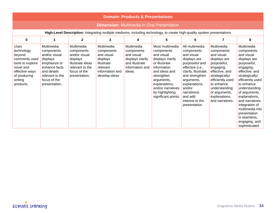|                                                                                                                                                 | <b>Domain: Products &amp; Presentations</b>                                                                                                               |                                                                                                                               |                                                                                                                  |                                                                                                           |                                                                                                                                                                                                                              |                                                                                                                                                                                                                                                   |                                                                                                                                                                                                                                |                                                                                                                                                                                                                                                                                                                                        |  |  |  |  |
|-------------------------------------------------------------------------------------------------------------------------------------------------|-----------------------------------------------------------------------------------------------------------------------------------------------------------|-------------------------------------------------------------------------------------------------------------------------------|------------------------------------------------------------------------------------------------------------------|-----------------------------------------------------------------------------------------------------------|------------------------------------------------------------------------------------------------------------------------------------------------------------------------------------------------------------------------------|---------------------------------------------------------------------------------------------------------------------------------------------------------------------------------------------------------------------------------------------------|--------------------------------------------------------------------------------------------------------------------------------------------------------------------------------------------------------------------------------|----------------------------------------------------------------------------------------------------------------------------------------------------------------------------------------------------------------------------------------------------------------------------------------------------------------------------------------|--|--|--|--|
| <b>Dimension: Multimedia in Oral Presentation</b>                                                                                               |                                                                                                                                                           |                                                                                                                               |                                                                                                                  |                                                                                                           |                                                                                                                                                                                                                              |                                                                                                                                                                                                                                                   |                                                                                                                                                                                                                                |                                                                                                                                                                                                                                                                                                                                        |  |  |  |  |
| High-Level Description: Integrating multiple mediums, including technology, to create high-quality spoken presentations                         |                                                                                                                                                           |                                                                                                                               |                                                                                                                  |                                                                                                           |                                                                                                                                                                                                                              |                                                                                                                                                                                                                                                   |                                                                                                                                                                                                                                |                                                                                                                                                                                                                                                                                                                                        |  |  |  |  |
| $\bf{0}$                                                                                                                                        | $\mathbf{1}$                                                                                                                                              | $\overline{2}$                                                                                                                | 3                                                                                                                | 4                                                                                                         | 5                                                                                                                                                                                                                            | 6                                                                                                                                                                                                                                                 | $\overline{7}$                                                                                                                                                                                                                 | 8                                                                                                                                                                                                                                                                                                                                      |  |  |  |  |
| <b>Uses</b><br>technology<br>beyond<br>commonly used<br>tools to explore<br>novel and<br>effective ways<br>of producing<br>writing<br>products. | Multimedia<br>components<br>and/or visual<br>displays<br>emphasize or<br>enhance facts<br>and details<br>relevant to the<br>focus of the<br>presentation. | Multimedia<br>components<br>and/or visual<br>displays<br>illustrate ideas<br>relevant to the<br>focus of the<br>presentation. | Multimedia<br>components<br>and visual<br>displays<br>illustrate<br>relevant<br>information and<br>develop ideas | Multimedia<br>components<br>and visual<br>displays clarify<br>and illustrate<br>information and<br>ideas. | Most multimedia<br>components<br>and visual<br>displays clarify<br>or illustrate<br>information<br>and ideas and<br>strengthen<br>arguments,<br>explanations,<br>and/or narratives<br>by highlighting<br>significant points. | All multimedia<br>components<br>and visual<br>displays are<br>purposeful and<br>effective (i.e.,<br>clarify, illustrate,<br>and strengthen<br>arguments,<br>explanations,<br>and/or<br>narratives)<br>and add<br>interest to the<br>presentation. | Multimedia<br>components<br>and visual<br>displays are<br>purposeful,<br>engaging,<br>effective, and<br>strategically/<br>efficiently used<br>to enhance<br>understanding<br>of arguments,<br>explanations,<br>and narratives. | Multimedia<br>components<br>and visual<br>displays are<br>purposeful,<br>engaging,<br>effective, and<br>strategically/<br>efficiently used<br>to enhance<br>understanding<br>of arguments,<br>explanations,<br>and narratives.<br>Integration of<br>multimedia into<br>presentation<br>is seamless,<br>engaging, and<br>sophisticated. |  |  |  |  |

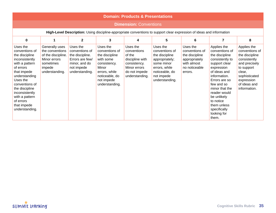|                                                                                                                                                                                                                                                                 | <b>Domain: Products &amp; Presentations</b>                                                                      |                                                                                                                   |                                                                                                                                                       |                                                                                                                         |                                                                                                                                                 |                                                                                                          |                                                                                                                                                                                                                                                                                       |                                                                                                                                                                         |  |  |  |  |  |
|-----------------------------------------------------------------------------------------------------------------------------------------------------------------------------------------------------------------------------------------------------------------|------------------------------------------------------------------------------------------------------------------|-------------------------------------------------------------------------------------------------------------------|-------------------------------------------------------------------------------------------------------------------------------------------------------|-------------------------------------------------------------------------------------------------------------------------|-------------------------------------------------------------------------------------------------------------------------------------------------|----------------------------------------------------------------------------------------------------------|---------------------------------------------------------------------------------------------------------------------------------------------------------------------------------------------------------------------------------------------------------------------------------------|-------------------------------------------------------------------------------------------------------------------------------------------------------------------------|--|--|--|--|--|
| <b>Dimension: Conventions</b>                                                                                                                                                                                                                                   |                                                                                                                  |                                                                                                                   |                                                                                                                                                       |                                                                                                                         |                                                                                                                                                 |                                                                                                          |                                                                                                                                                                                                                                                                                       |                                                                                                                                                                         |  |  |  |  |  |
| High-Level Description: Using discipline-appropriate conventions to support clear expression of ideas and information                                                                                                                                           |                                                                                                                  |                                                                                                                   |                                                                                                                                                       |                                                                                                                         |                                                                                                                                                 |                                                                                                          |                                                                                                                                                                                                                                                                                       |                                                                                                                                                                         |  |  |  |  |  |
| 0                                                                                                                                                                                                                                                               | 1                                                                                                                | $\overline{2}$                                                                                                    | 3                                                                                                                                                     | 4                                                                                                                       | 5                                                                                                                                               | 6                                                                                                        | 7                                                                                                                                                                                                                                                                                     | 8                                                                                                                                                                       |  |  |  |  |  |
| Uses the<br>conventions of<br>the discipline<br>inconsistently<br>with a pattern<br>of errors<br>that impede<br>understanding<br>Uses the<br>conventions of<br>the discipline<br>inconsistently<br>with a pattern<br>of errors<br>that impede<br>understanding. | Generally uses<br>the conventions<br>of the discipline.<br>Minor errors<br>sometimes<br>impede<br>understanding. | Uses the<br>conventions of<br>the discipline.<br>Errors are few/<br>minor, and do<br>not impede<br>understanding. | Uses the<br>conventions of<br>the discipline<br>with some<br>consistency.<br>Minor<br>errors, while<br>noticeable, do<br>not impede<br>understanding. | Uses the<br>conventions<br>of the<br>discipline with<br>consistency.<br>Minor errors<br>do not impede<br>understanding. | Uses the<br>conventions of<br>the discipline<br>appropriately;<br>some minor<br>errors, while<br>noticeable, do<br>not impede<br>understanding. | Uses the<br>conventions of<br>the discipline<br>appropriately<br>with almost<br>no noticeable<br>errors. | Applies the<br>conventions of<br>the discipline<br>consistently to<br>support clear<br>expression<br>of ideas and<br>information.<br>Errors are so<br>few and so<br>minor that the<br>reader would<br>be unlikely<br>to notice<br>them unless<br>specifically<br>looking for<br>them. | Applies the<br>conventions of<br>the discipline<br>consistently<br>and precisely<br>to support<br>clear,<br>sophisticated<br>expression<br>of ideas and<br>information. |  |  |  |  |  |